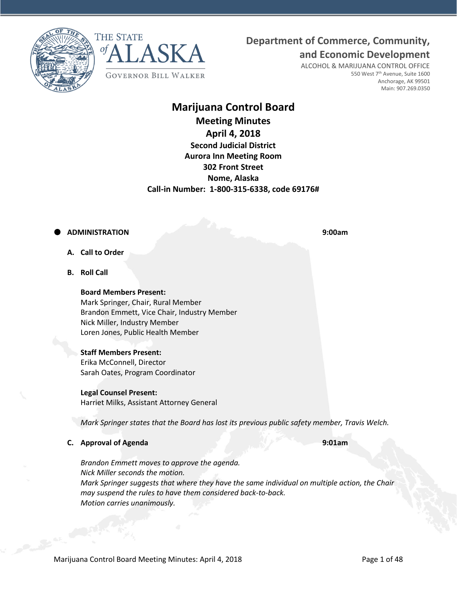**Department of Commerce, Community,**





ALCOHOL & MARIJUANA CONTROL OFFICE 550 West 7<sup>th</sup> Avenue, Suite 1600 Anchorage, AK 99501 Main: 907.269.0350

**and Economic Development**

# **Marijuana Control Board**

**Meeting Minutes April 4, 2018 Second Judicial District Aurora Inn Meeting Room 302 Front Street Nome, Alaska Call-in Number: 1-800-315-6338, code 69176#**

# **ADMINISTRATION 9:00am**

- **A. Call to Order**
- **B. Roll Call**

**Board Members Present:** Mark Springer, Chair, Rural Member Brandon Emmett, Vice Chair, Industry Member Nick Miller, Industry Member Loren Jones, Public Health Member

# **Staff Members Present:**

Erika McConnell, Director Sarah Oates, Program Coordinator

# **Legal Counsel Present:**

Harriet Milks, Assistant Attorney General

*Mark Springer states that the Board has lost its previous public safety member, Travis Welch.*

# **C. Approval of Agenda 9:01am**

*Brandon Emmett moves to approve the agenda. Nick Miller seconds the motion. Mark Springer suggests that where they have the same individual on multiple action, the Chair may suspend the rules to have them considered back-to-back. Motion carries unanimously.*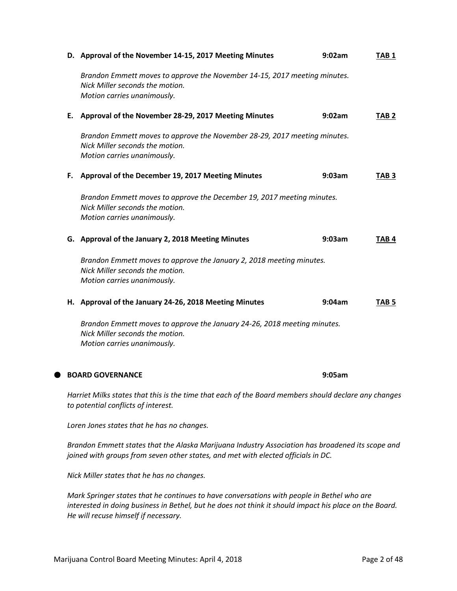|    | D. Approval of the November 14-15, 2017 Meeting Minutes                                                                                                                               | 9:02am | TAB <sub>1</sub> |
|----|---------------------------------------------------------------------------------------------------------------------------------------------------------------------------------------|--------|------------------|
|    | Brandon Emmett moves to approve the November 14-15, 2017 meeting minutes.<br>Nick Miller seconds the motion.<br>Motion carries unanimously.                                           |        |                  |
| Е. | Approval of the November 28-29, 2017 Meeting Minutes                                                                                                                                  | 9:02am | TAB <sub>2</sub> |
|    | Brandon Emmett moves to approve the November 28-29, 2017 meeting minutes.<br>Nick Miller seconds the motion.<br>Motion carries unanimously.                                           |        |                  |
| F. | Approval of the December 19, 2017 Meeting Minutes                                                                                                                                     | 9:03am | TAB 3            |
|    | Brandon Emmett moves to approve the December 19, 2017 meeting minutes.<br>Nick Miller seconds the motion.<br>Motion carries unanimously.                                              |        |                  |
|    | G. Approval of the January 2, 2018 Meeting Minutes                                                                                                                                    | 9:03am | TAB <sub>4</sub> |
|    | Brandon Emmett moves to approve the January 2, 2018 meeting minutes.<br>Nick Miller seconds the motion.<br>Motion carries unanimously.                                                |        |                  |
|    | H. Approval of the January 24-26, 2018 Meeting Minutes                                                                                                                                | 9:04am | TAB 5            |
|    | Brandon Emmett moves to approve the January 24-26, 2018 meeting minutes.<br>Nick Miller seconds the motion.<br>Motion carries unanimously.                                            |        |                  |
|    | <b>BOARD GOVERNANCE</b>                                                                                                                                                               | 9:05am |                  |
|    | Harriet Milks states that this is the time that each of the Board members should declare any changes<br>to potential conflicts of interest.                                           |        |                  |
|    | Loren Jones states that he has no changes.                                                                                                                                            |        |                  |
|    | Brandon Emmett states that the Alaska Marijuana Industry Association has broadened its scope and<br>joined with groups from seven other states, and met with elected officials in DC. |        |                  |

*Nick Miller states that he has no changes.*

*Mark Springer states that he continues to have conversations with people in Bethel who are interested in doing business in Bethel, but he does not think it should impact his place on the Board. He will recuse himself if necessary.*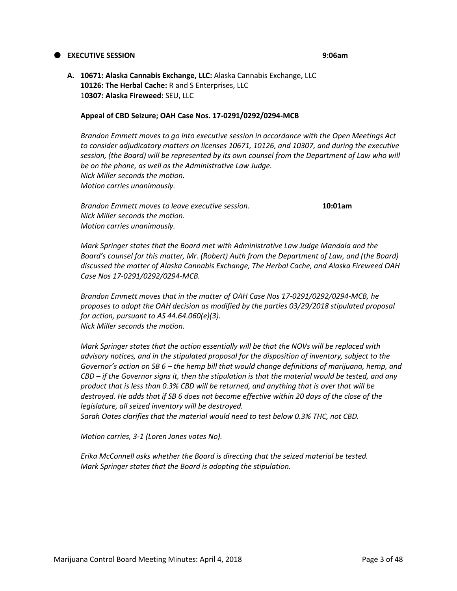#### **EXECUTIVE SESSION 9:06am**

**A. 10671: Alaska Cannabis Exchange, LLC:** Alaska Cannabis Exchange, LLC **10126: The Herbal Cache:** R and S Enterprises, LLC 1**0307: Alaska Fireweed:** SEU, LLC

#### **Appeal of CBD Seizure; OAH Case Nos. 17-0291/0292/0294-MCB**

*Brandon Emmett moves to go into executive session in accordance with the Open Meetings Act to consider adjudicatory matters on licenses 10671, 10126, and 10307, and during the executive session, (the Board) will be represented by its own counsel from the Department of Law who will be on the phone, as well as the Administrative Law Judge. Nick Miller seconds the motion. Motion carries unanimously.*

*Brandon Emmett moves to leave executive session.* **10:01am** *Nick Miller seconds the motion. Motion carries unanimously.*

*Mark Springer states that the Board met with Administrative Law Judge Mandala and the Board's counsel for this matter, Mr. (Robert) Auth from the Department of Law, and (the Board) discussed the matter of Alaska Cannabis Exchange, The Herbal Cache, and Alaska Fireweed OAH Case Nos 17-0291/0292/0294-MCB.*

*Brandon Emmett moves that in the matter of OAH Case Nos 17-0291/0292/0294-MCB, he proposes to adopt the OAH decision as modified by the parties 03/29/2018 stipulated proposal for action, pursuant to AS 44.64.060(e)(3). Nick Miller seconds the motion.*

*Mark Springer states that the action essentially will be that the NOVs will be replaced with advisory notices, and in the stipulated proposal for the disposition of inventory, subject to the Governor's action on SB 6 – the hemp bill that would change definitions of marijuana, hemp, and CBD – if the Governor signs it, then the stipulation is that the material would be tested, and any product that is less than 0.3% CBD will be returned, and anything that is over that will be*  destroyed. He adds that if SB 6 does not become effective within 20 days of the close of the *legislature, all seized inventory will be destroyed.*

*Sarah Oates clarifies that the material would need to test below 0.3% THC, not CBD.*

*Motion carries, 3-1 (Loren Jones votes No).*

*Erika McConnell asks whether the Board is directing that the seized material be tested. Mark Springer states that the Board is adopting the stipulation.*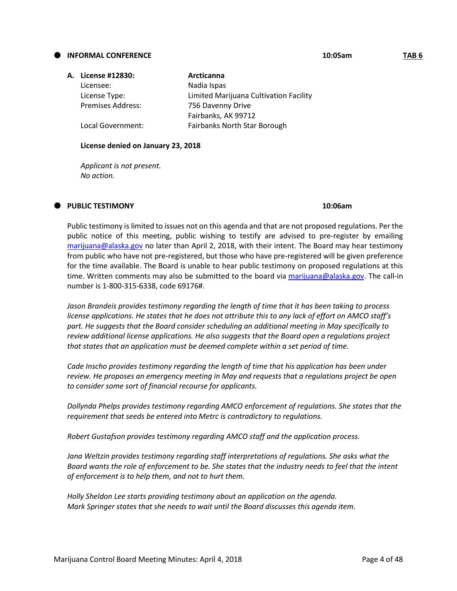#### **INFORMAL CONFERENCE 10:05am TAB 6**

| A. License #12830:       | Arcticanna                             |
|--------------------------|----------------------------------------|
| Licensee:                | Nadia Ispas                            |
| License Type:            | Limited Marijuana Cultivation Facility |
| <b>Premises Address:</b> | 756 Davenny Drive                      |
|                          | Fairbanks, AK 99712                    |
| Local Government:        | Fairbanks North Star Borough           |

#### **License denied on January 23, 2018**

*Applicant is not present. No action.*

#### **PUBLIC TESTIMONY 10:06am**

Public testimony is limited to issues not on this agenda and that are not proposed regulations. Per the public notice of this meeting, public wishing to testify are advised to pre-register by emailing [marijuana@alaska.gov](mailto:marijuana@alaska.gov) no later than April 2, 2018, with their intent. The Board may hear testimony from public who have not pre-registered, but those who have pre-registered will be given preference for the time available. The Board is unable to hear public testimony on proposed regulations at this time. Written comments may also be submitted to the board via [marijuana@alaska.gov.](mailto:marijuana@alaska.gov) The call-in number is 1-800-315-6338, code 69176#.

*Jason Brandeis provides testimony regarding the length of time that it has been taking to process license applications. He states that he does not attribute this to any lack of effort on AMCO staff's part. He suggests that the Board consider scheduling an additional meeting in May specifically to review additional license applications. He also suggests that the Board open a regulations project that states that an application must be deemed complete within a set period of time.*

*Cade Inscho provides testimony regarding the length of time that his application has been under review. He proposes an emergency meeting in May and requests that a regulations project be open to consider some sort of financial recourse for applicants.*

*Dollynda Phelps provides testimony regarding AMCO enforcement of regulations. She states that the requirement that seeds be entered into Metrc is contradictory to regulations.*

*Robert Gustafson provides testimony regarding AMCO staff and the application process.*

*Jana Weltzin provides testimony regarding staff interpretations of regulations. She asks what the Board wants the role of enforcement to be. She states that the industry needs to feel that the intent of enforcement is to help them, and not to hurt them.*

*Holly Sheldon Lee starts providing testimony about an application on the agenda. Mark Springer states that she needs to wait until the Board discusses this agenda item.*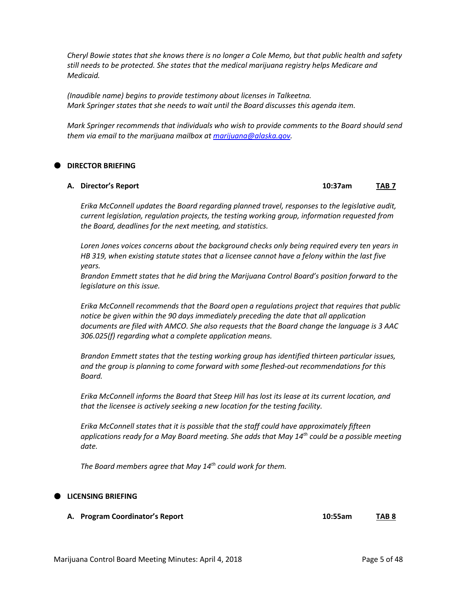*Cheryl Bowie states that she knows there is no longer a Cole Memo, but that public health and safety still needs to be protected. She states that the medical marijuana registry helps Medicare and Medicaid.*

*(Inaudible name) begins to provide testimony about licenses in Talkeetna. Mark Springer states that she needs to wait until the Board discusses this agenda item.*

*Mark Springer recommends that individuals who wish to provide comments to the Board should send them via email to the marijuana mailbox a[t marijuana@alaska.gov.](mailto:marijuana@alaska.gov)*

## **DIRECTOR BRIEFING**

#### **A. Director's Report 10:37am TAB 7**

*Erika McConnell updates the Board regarding planned travel, responses to the legislative audit, current legislation, regulation projects, the testing working group, information requested from the Board, deadlines for the next meeting, and statistics.*

*Loren Jones voices concerns about the background checks only being required every ten years in HB 319, when existing statute states that a licensee cannot have a felony within the last five years.*

*Brandon Emmett states that he did bring the Marijuana Control Board's position forward to the legislature on this issue.*

*Erika McConnell recommends that the Board open a regulations project that requires that public notice be given within the 90 days immediately preceding the date that all application documents are filed with AMCO. She also requests that the Board change the language is 3 AAC 306.025(f) regarding what a complete application means.*

*Brandon Emmett states that the testing working group has identified thirteen particular issues, and the group is planning to come forward with some fleshed-out recommendations for this Board.*

*Erika McConnell informs the Board that Steep Hill has lost its lease at its current location, and that the licensee is actively seeking a new location for the testing facility.*

*Erika McConnell states that it is possible that the staff could have approximately fifteen applications ready for a May Board meeting. She adds that May 14th could be a possible meeting date.*

*The Board members agree that May 14th could work for them.*

#### **LICENSING BRIEFING**

**A. Program Coordinator's Report 10:55am TAB 8**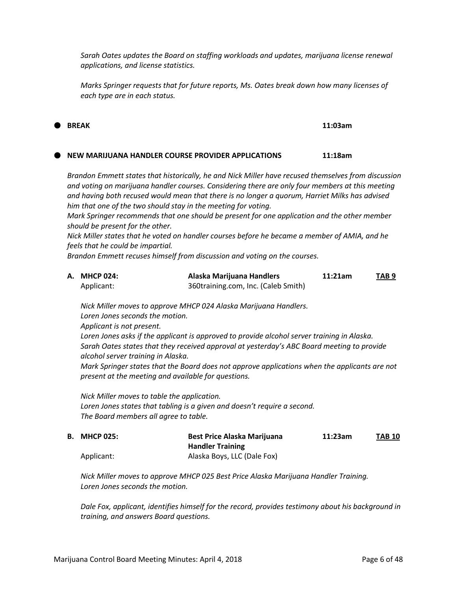*Sarah Oates updates the Board on staffing workloads and updates, marijuana license renewal applications, and license statistics.*

*Marks Springer requests that for future reports, Ms. Oates break down how many licenses of each type are in each status.*

## **NEW MARIJUANA HANDLER COURSE PROVIDER APPLICATIONS 11:18am**

*Brandon Emmett states that historically, he and Nick Miller have recused themselves from discussion and voting on marijuana handler courses. Considering there are only four members at this meeting and having both recused would mean that there is no longer a quorum, Harriet Milks has advised him that one of the two should stay in the meeting for voting.*

*Mark Springer recommends that one should be present for one application and the other member should be present for the other.*

*Nick Miller states that he voted on handler courses before he became a member of AMIA, and he feels that he could be impartial.*

*Brandon Emmett recuses himself from discussion and voting on the courses.*

| A. MHCP 024: | Alaska Marijuana Handlers           | 11:21am | TAB 9 |
|--------------|-------------------------------------|---------|-------|
| Applicant:   | 360training.com, Inc. (Caleb Smith) |         |       |

*Nick Miller moves to approve MHCP 024 Alaska Marijuana Handlers. Loren Jones seconds the motion. Applicant is not present. Loren Jones asks if the applicant is approved to provide alcohol server training in Alaska. Sarah Oates states that they received approval at yesterday's ABC Board meeting to provide alcohol server training in Alaska. Mark Springer states that the Board does not approve applications when the applicants are not present at the meeting and available for questions.*

*Nick Miller moves to table the application. Loren Jones states that tabling is a given and doesn't require a second. The Board members all agree to table.*

| <b>B. MHCP 025:</b> | <b>Best Price Alaska Marijuana</b> | 11:23am | <b>TAB 10</b> |
|---------------------|------------------------------------|---------|---------------|
|                     | <b>Handler Training</b>            |         |               |
| Applicant:          | Alaska Boys, LLC (Dale Fox)        |         |               |

*Nick Miller moves to approve MHCP 025 Best Price Alaska Marijuana Handler Training. Loren Jones seconds the motion.*

*Dale Fox, applicant, identifies himself for the record, provides testimony about his background in training, and answers Board questions.*

**BREAK 11:03am**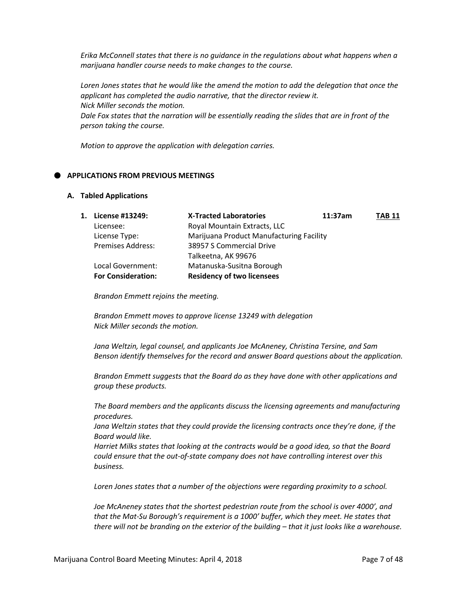*Erika McConnell states that there is no guidance in the regulations about what happens when a marijuana handler course needs to make changes to the course.*

*Loren Jones states that he would like the amend the motion to add the delegation that once the applicant has completed the audio narrative, that the director review it. Nick Miller seconds the motion.*

*Dale Fox states that the narration will be essentially reading the slides that are in front of the person taking the course.*

*Motion to approve the application with delegation carries.*

## **APPLICATIONS FROM PREVIOUS MEETINGS**

#### **A. Tabled Applications**

| 1. | License #13249:           | <b>X-Tracted Laboratories</b>            | 11:37am | <b>TAB 11</b> |
|----|---------------------------|------------------------------------------|---------|---------------|
|    | Licensee:                 | Royal Mountain Extracts, LLC             |         |               |
|    | License Type:             | Marijuana Product Manufacturing Facility |         |               |
|    | <b>Premises Address:</b>  | 38957 S Commercial Drive                 |         |               |
|    |                           | Talkeetna, AK 99676                      |         |               |
|    | Local Government:         | Matanuska-Susitna Borough                |         |               |
|    | <b>For Consideration:</b> | <b>Residency of two licensees</b>        |         |               |

*Brandon Emmett rejoins the meeting.*

*Brandon Emmett moves to approve license 13249 with delegation Nick Miller seconds the motion.*

*Jana Weltzin, legal counsel, and applicants Joe McAneney, Christina Tersine, and Sam Benson identify themselves for the record and answer Board questions about the application.*

*Brandon Emmett suggests that the Board do as they have done with other applications and group these products.*

*The Board members and the applicants discuss the licensing agreements and manufacturing procedures.*

*Jana Weltzin states that they could provide the licensing contracts once they're done, if the Board would like.*

*Harriet Milks states that looking at the contracts would be a good idea, so that the Board could ensure that the out-of-state company does not have controlling interest over this business.*

*Loren Jones states that a number of the objections were regarding proximity to a school.*

*Joe McAneney states that the shortest pedestrian route from the school is over 4000', and that the Mat-Su Borough's requirement is a 1000' buffer, which they meet. He states that there will not be branding on the exterior of the building – that it just looks like a warehouse.*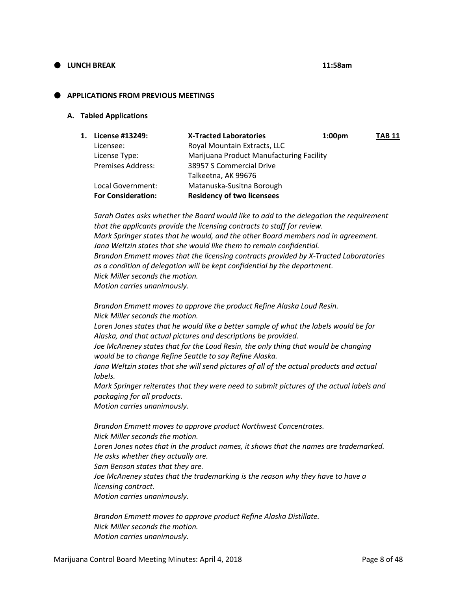# **LUNCH BREAK 11:58am**

## **APPLICATIONS FROM PREVIOUS MEETINGS**

#### **A. Tabled Applications**

| 1. | License #13249:           | <b>X-Tracted Laboratories</b>            | 1:00 <sub>pm</sub> | <b>TAB 11</b> |
|----|---------------------------|------------------------------------------|--------------------|---------------|
|    | Licensee:                 | Royal Mountain Extracts, LLC             |                    |               |
|    | License Type:             | Marijuana Product Manufacturing Facility |                    |               |
|    | <b>Premises Address:</b>  | 38957 S Commercial Drive                 |                    |               |
|    |                           | Talkeetna, AK 99676                      |                    |               |
|    | Local Government:         | Matanuska-Susitna Borough                |                    |               |
|    | <b>For Consideration:</b> | <b>Residency of two licensees</b>        |                    |               |

*Sarah Oates asks whether the Board would like to add to the delegation the requirement that the applicants provide the licensing contracts to staff for review. Mark Springer states that he would, and the other Board members nod in agreement. Jana Weltzin states that she would like them to remain confidential. Brandon Emmett moves that the licensing contracts provided by X-Tracted Laboratories as a condition of delegation will be kept confidential by the department. Nick Miller seconds the motion. Motion carries unanimously.*

*Brandon Emmett moves to approve the product Refine Alaska Loud Resin. Nick Miller seconds the motion. Loren Jones states that he would like a better sample of what the labels would be for Alaska, and that actual pictures and descriptions be provided. Joe McAneney states that for the Loud Resin, the only thing that would be changing would be to change Refine Seattle to say Refine Alaska. Jana Weltzin states that she will send pictures of all of the actual products and actual labels. Mark Springer reiterates that they were need to submit pictures of the actual labels and packaging for all products.*

*Motion carries unanimously.*

*Brandon Emmett moves to approve product Northwest Concentrates. Nick Miller seconds the motion. Loren Jones notes that in the product names, it shows that the names are trademarked. He asks whether they actually are. Sam Benson states that they are. Joe McAneney states that the trademarking is the reason why they have to have a licensing contract. Motion carries unanimously.*

*Brandon Emmett moves to approve product Refine Alaska Distillate. Nick Miller seconds the motion. Motion carries unanimously.*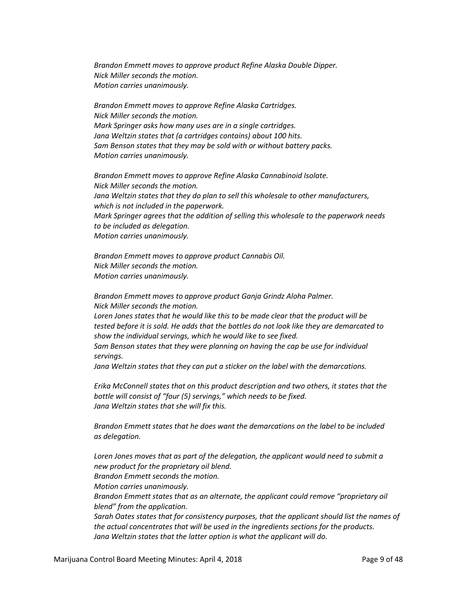*Brandon Emmett moves to approve product Refine Alaska Double Dipper. Nick Miller seconds the motion. Motion carries unanimously.*

*Brandon Emmett moves to approve Refine Alaska Cartridges. Nick Miller seconds the motion. Mark Springer asks how many uses are in a single cartridges. Jana Weltzin states that (a cartridges contains) about 100 hits. Sam Benson states that they may be sold with or without battery packs. Motion carries unanimously.*

*Brandon Emmett moves to approve Refine Alaska Cannabinoid Isolate. Nick Miller seconds the motion. Jana Weltzin states that they do plan to sell this wholesale to other manufacturers, which is not included in the paperwork. Mark Springer agrees that the addition of selling this wholesale to the paperwork needs to be included as delegation. Motion carries unanimously.*

*Brandon Emmett moves to approve product Cannabis Oil. Nick Miller seconds the motion. Motion carries unanimously.*

*Brandon Emmett moves to approve product Ganja Grindz Aloha Palmer. Nick Miller seconds the motion.*

*Loren Jones states that he would like this to be made clear that the product will be tested before it is sold. He adds that the bottles do not look like they are demarcated to show the individual servings, which he would like to see fixed.*

*Sam Benson states that they were planning on having the cap be use for individual servings.*

*Jana Weltzin states that they can put a sticker on the label with the demarcations.*

*Erika McConnell states that on this product description and two others, it states that the bottle will consist of "four (5) servings," which needs to be fixed. Jana Weltzin states that she will fix this.*

*Brandon Emmett states that he does want the demarcations on the label to be included as delegation.*

*Loren Jones moves that as part of the delegation, the applicant would need to submit a new product for the proprietary oil blend. Brandon Emmett seconds the motion. Motion carries unanimously. Brandon Emmett states that as an alternate, the applicant could remove "proprietary oil blend" from the application. Sarah Oates states that for consistency purposes, that the applicant should list the names of the actual concentrates that will be used in the ingredients sections for the products. Jana Weltzin states that the latter option is what the applicant will do.*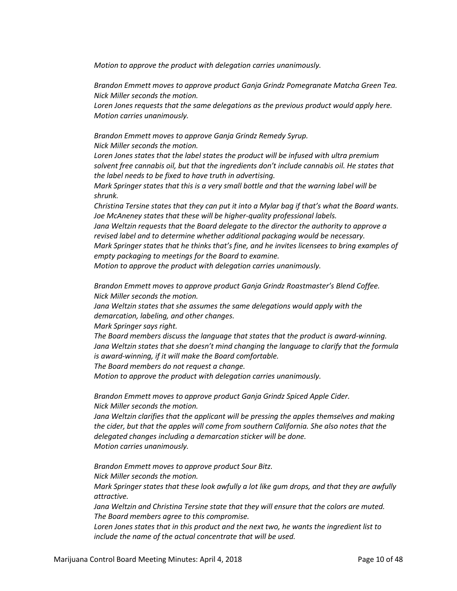*Motion to approve the product with delegation carries unanimously.*

*Brandon Emmett moves to approve product Ganja Grindz Pomegranate Matcha Green Tea. Nick Miller seconds the motion.*

*Loren Jones requests that the same delegations as the previous product would apply here. Motion carries unanimously.*

*Brandon Emmett moves to approve Ganja Grindz Remedy Syrup. Nick Miller seconds the motion.*

*Loren Jones states that the label states the product will be infused with ultra premium solvent free cannabis oil, but that the ingredients don't include cannabis oil. He states that the label needs to be fixed to have truth in advertising.*

*Mark Springer states that this is a very small bottle and that the warning label will be shrunk.*

*Christina Tersine states that they can put it into a Mylar bag if that's what the Board wants. Joe McAneney states that these will be higher-quality professional labels.*

*Jana Weltzin requests that the Board delegate to the director the authority to approve a revised label and to determine whether additional packaging would be necessary. Mark Springer states that he thinks that's fine, and he invites licensees to bring examples of empty packaging to meetings for the Board to examine.*

*Motion to approve the product with delegation carries unanimously.*

*Brandon Emmett moves to approve product Ganja Grindz Roastmaster's Blend Coffee. Nick Miller seconds the motion.*

*Jana Weltzin states that she assumes the same delegations would apply with the demarcation, labeling, and other changes.*

*Mark Springer says right.*

*The Board members discuss the language that states that the product is award-winning. Jana Weltzin states that she doesn't mind changing the language to clarify that the formula is award-winning, if it will make the Board comfortable.*

*The Board members do not request a change.*

*Motion to approve the product with delegation carries unanimously.*

*Brandon Emmett moves to approve product Ganja Grindz Spiced Apple Cider. Nick Miller seconds the motion.*

*Jana Weltzin clarifies that the applicant will be pressing the apples themselves and making the cider, but that the apples will come from southern California. She also notes that the delegated changes including a demarcation sticker will be done. Motion carries unanimously.*

*Brandon Emmett moves to approve product Sour Bitz. Nick Miller seconds the motion. Mark Springer states that these look awfully a lot like gum drops, and that they are awfully attractive.*

*Jana Weltzin and Christina Tersine state that they will ensure that the colors are muted. The Board members agree to this compromise.*

*Loren Jones states that in this product and the next two, he wants the ingredient list to include the name of the actual concentrate that will be used.*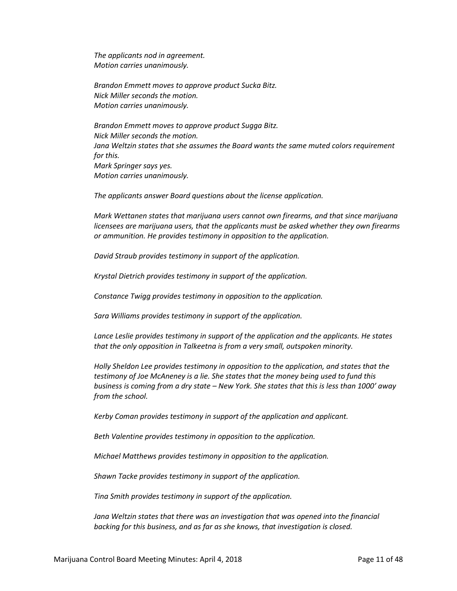*The applicants nod in agreement. Motion carries unanimously.*

*Brandon Emmett moves to approve product Sucka Bitz. Nick Miller seconds the motion. Motion carries unanimously.*

*Brandon Emmett moves to approve product Sugga Bitz. Nick Miller seconds the motion. Jana Weltzin states that she assumes the Board wants the same muted colors requirement for this. Mark Springer says yes. Motion carries unanimously.*

*The applicants answer Board questions about the license application.*

*Mark Wettanen states that marijuana users cannot own firearms, and that since marijuana licensees are marijuana users, that the applicants must be asked whether they own firearms or ammunition. He provides testimony in opposition to the application.*

*David Straub provides testimony in support of the application.*

*Krystal Dietrich provides testimony in support of the application.*

*Constance Twigg provides testimony in opposition to the application.*

*Sara Williams provides testimony in support of the application.*

*Lance Leslie provides testimony in support of the application and the applicants. He states that the only opposition in Talkeetna is from a very small, outspoken minority.*

*Holly Sheldon Lee provides testimony in opposition to the application, and states that the testimony of Joe McAneney is a lie. She states that the money being used to fund this business is coming from a dry state – New York. She states that this is less than 1000' away from the school.*

*Kerby Coman provides testimony in support of the application and applicant.*

*Beth Valentine provides testimony in opposition to the application.*

*Michael Matthews provides testimony in opposition to the application.*

*Shawn Tacke provides testimony in support of the application.*

*Tina Smith provides testimony in support of the application.*

*Jana Weltzin states that there was an investigation that was opened into the financial backing for this business, and as far as she knows, that investigation is closed.*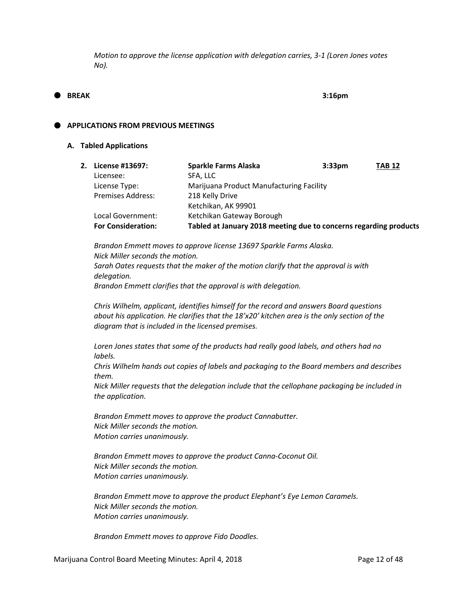*Motion to approve the license application with delegation carries, 3-1 (Loren Jones votes No).*

# **BREAK 3:16pm**

## **APPLICATIONS FROM PREVIOUS MEETINGS**

#### **A. Tabled Applications**

| 2. | License #13697:           | <b>Sparkle Farms Alaska</b>                                       | 3:33 <sub>pm</sub> | <b>TAB 12</b> |
|----|---------------------------|-------------------------------------------------------------------|--------------------|---------------|
|    | Licensee:                 | SFA, LLC                                                          |                    |               |
|    | License Type:             | Marijuana Product Manufacturing Facility                          |                    |               |
|    | <b>Premises Address:</b>  | 218 Kelly Drive                                                   |                    |               |
|    |                           | Ketchikan, AK 99901                                               |                    |               |
|    | Local Government:         | Ketchikan Gateway Borough                                         |                    |               |
|    | <b>For Consideration:</b> | Tabled at January 2018 meeting due to concerns regarding products |                    |               |

*Brandon Emmett moves to approve license 13697 Sparkle Farms Alaska. Nick Miller seconds the motion. Sarah Oates requests that the maker of the motion clarify that the approval is with delegation. Brandon Emmett clarifies that the approval is with delegation.*

*Chris Wilhelm, applicant, identifies himself for the record and answers Board questions about his application. He clarifies that the 18'x20' kitchen area is the only section of the diagram that is included in the licensed premises.*

*Loren Jones states that some of the products had really good labels, and others had no labels.*

*Chris Wilhelm hands out copies of labels and packaging to the Board members and describes them.*

*Nick Miller requests that the delegation include that the cellophane packaging be included in the application.*

*Brandon Emmett moves to approve the product Cannabutter. Nick Miller seconds the motion. Motion carries unanimously.*

*Brandon Emmett moves to approve the product Canna-Coconut Oil. Nick Miller seconds the motion. Motion carries unanimously.*

*Brandon Emmett move to approve the product Elephant's Eye Lemon Caramels. Nick Miller seconds the motion. Motion carries unanimously.*

*Brandon Emmett moves to approve Fido Doodles.*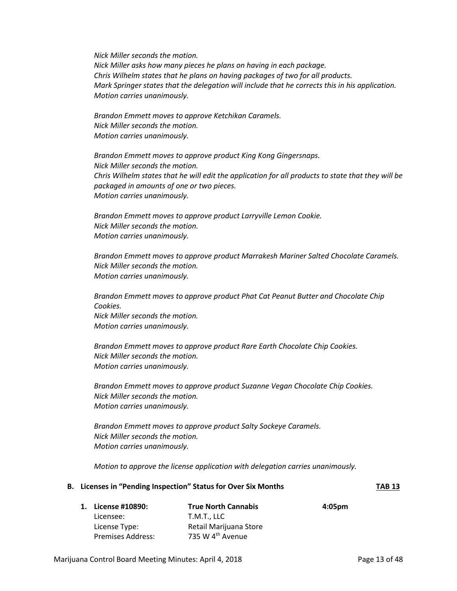*Nick Miller seconds the motion. Nick Miller asks how many pieces he plans on having in each package. Chris Wilhelm states that he plans on having packages of two for all products. Mark Springer states that the delegation will include that he corrects this in his application. Motion carries unanimously.*

*Brandon Emmett moves to approve Ketchikan Caramels. Nick Miller seconds the motion. Motion carries unanimously.*

*Brandon Emmett moves to approve product King Kong Gingersnaps. Nick Miller seconds the motion. Chris Wilhelm states that he will edit the application for all products to state that they will be packaged in amounts of one or two pieces. Motion carries unanimously.*

*Brandon Emmett moves to approve product Larryville Lemon Cookie. Nick Miller seconds the motion. Motion carries unanimously.*

*Brandon Emmett moves to approve product Marrakesh Mariner Salted Chocolate Caramels. Nick Miller seconds the motion. Motion carries unanimously.*

*Brandon Emmett moves to approve product Phat Cat Peanut Butter and Chocolate Chip Cookies. Nick Miller seconds the motion. Motion carries unanimously.*

*Brandon Emmett moves to approve product Rare Earth Chocolate Chip Cookies. Nick Miller seconds the motion. Motion carries unanimously.*

*Brandon Emmett moves to approve product Suzanne Vegan Chocolate Chip Cookies. Nick Miller seconds the motion. Motion carries unanimously.*

*Brandon Emmett moves to approve product Salty Sockeye Caramels. Nick Miller seconds the motion. Motion carries unanimously.*

*Motion to approve the license application with delegation carries unanimously.*

#### **B. Licenses in "Pending Inspection" Status for Over Six Months TAB 13**

| 1. License #10890:       | <b>True North Cannabis</b>   | 4:05 <sub>pm</sub> |
|--------------------------|------------------------------|--------------------|
| Licensee:                | T.M.T., LLC                  |                    |
| License Type:            | Retail Marijuana Store       |                    |
| <b>Premises Address:</b> | 735 W 4 <sup>th</sup> Avenue |                    |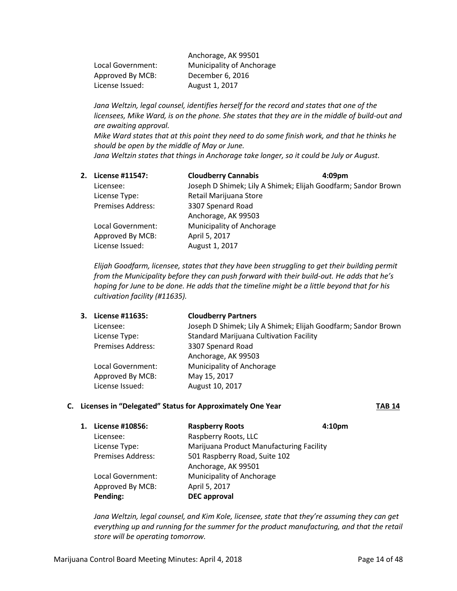| Anchorage, AK 99501       |
|---------------------------|
| Municipality of Anchorage |
| December 6, 2016          |
| August 1, 2017            |
|                           |

*Jana Weltzin, legal counsel, identifies herself for the record and states that one of the licensees, Mike Ward, is on the phone. She states that they are in the middle of build-out and are awaiting approval. Mike Ward states that at this point they need to do some finish work, and that he thinks he should be open by the middle of May or June.*

*Jana Weltzin states that things in Anchorage take longer, so it could be July or August.*

**2. License #11547: Cloudberry Cannabis 4:09pm** Licensee: Joseph D Shimek; Lily A Shimek; Elijah Goodfarm; Sandor Brown License Type: Retail Marijuana Store Premises Address: 3307 Spenard Road Anchorage, AK 99503 Local Government: Municipality of Anchorage Approved By MCB: April 5, 2017 License Issued: August 1, 2017

*Elijah Goodfarm, licensee, states that they have been struggling to get their building permit from the Municipality before they can push forward with their build-out. He adds that he's hoping for June to be done. He adds that the timeline might be a little beyond that for his cultivation facility (#11635).*

| 3. License #11635: | <b>Cloudberry Partners</b>                                    |
|--------------------|---------------------------------------------------------------|
| Licensee:          | Joseph D Shimek; Lily A Shimek; Elijah Goodfarm; Sandor Brown |
| License Type:      | <b>Standard Marijuana Cultivation Facility</b>                |
| Premises Address:  | 3307 Spenard Road                                             |
|                    | Anchorage, AK 99503                                           |
| Local Government:  | Municipality of Anchorage                                     |
| Approved By MCB:   | May 15, 2017                                                  |
| License Issued:    | August 10, 2017                                               |
|                    |                                                               |

# **C.** Licenses in "Delegated" Status for Approximately One Year **TAB 14**

| 1. | License #10856:          | <b>Raspberry Roots</b>                   | 4:10 <sub>pm</sub> |
|----|--------------------------|------------------------------------------|--------------------|
|    | Licensee:                | Raspberry Roots, LLC                     |                    |
|    | License Type:            | Marijuana Product Manufacturing Facility |                    |
|    | <b>Premises Address:</b> | 501 Raspberry Road, Suite 102            |                    |
|    |                          | Anchorage, AK 99501                      |                    |
|    | Local Government:        | Municipality of Anchorage                |                    |
|    | Approved By MCB:         | April 5, 2017                            |                    |
|    | Pending:                 | <b>DEC</b> approval                      |                    |
|    |                          |                                          |                    |

*Jana Weltzin, legal counsel, and Kim Kole, licensee, state that they're assuming they can get everything up and running for the summer for the product manufacturing, and that the retail store will be operating tomorrow.*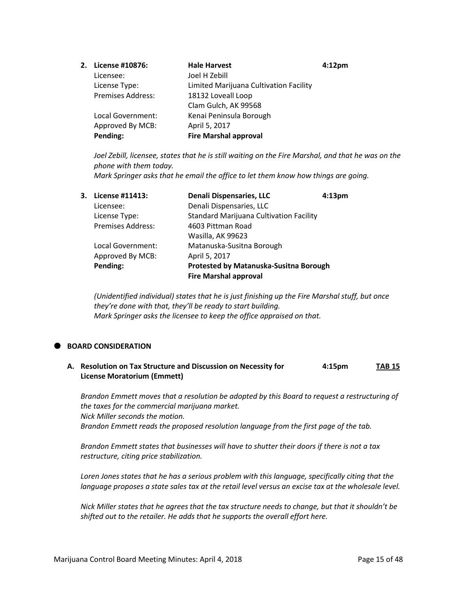| 2. License #10876:       | <b>Hale Harvest</b>                    | 4:12 <sub>pm</sub> |
|--------------------------|----------------------------------------|--------------------|
| Licensee:                | Joel H Zebill                          |                    |
| License Type:            | Limited Marijuana Cultivation Facility |                    |
| <b>Premises Address:</b> | 18132 Loveall Loop                     |                    |
|                          | Clam Gulch, AK 99568                   |                    |
| Local Government:        | Kenai Peninsula Borough                |                    |
| Approved By MCB:         | April 5, 2017                          |                    |
| Pending:                 | <b>Fire Marshal approval</b>           |                    |
|                          |                                        |                    |

*Joel Zebill, licensee, states that he is still waiting on the Fire Marshal, and that he was on the phone with them today.*

*Mark Springer asks that he email the office to let them know how things are going.*

| 3. License #11413:       | <b>Denali Dispensaries, LLC</b>                | 4:13 <sub>pm</sub> |
|--------------------------|------------------------------------------------|--------------------|
| Licensee:                | Denali Dispensaries, LLC                       |                    |
| License Type:            | <b>Standard Marijuana Cultivation Facility</b> |                    |
| <b>Premises Address:</b> | 4603 Pittman Road                              |                    |
|                          | Wasilla, AK 99623                              |                    |
| Local Government:        | Matanuska-Susitna Borough                      |                    |
| Approved By MCB:         | April 5, 2017                                  |                    |
| Pending:                 | Protested by Matanuska-Susitna Borough         |                    |
|                          | <b>Fire Marshal approval</b>                   |                    |
|                          |                                                |                    |

*(Unidentified individual) states that he is just finishing up the Fire Marshal stuff, but once they're done with that, they'll be ready to start building. Mark Springer asks the licensee to keep the office appraised on that.*

# **BOARD CONSIDERATION**

**A. Resolution on Tax Structure and Discussion on Necessity for 4:15pm TAB 15 License Moratorium (Emmett)**

*Brandon Emmett moves that a resolution be adopted by this Board to request a restructuring of the taxes for the commercial marijuana market. Nick Miller seconds the motion. Brandon Emmett reads the proposed resolution language from the first page of the tab.*

*Brandon Emmett states that businesses will have to shutter their doors if there is not a tax restructure, citing price stabilization.*

*Loren Jones states that he has a serious problem with this language, specifically citing that the language proposes a state sales tax at the retail level versus an excise tax at the wholesale level.*

*Nick Miller states that he agrees that the tax structure needs to change, but that it shouldn't be shifted out to the retailer. He adds that he supports the overall effort here.*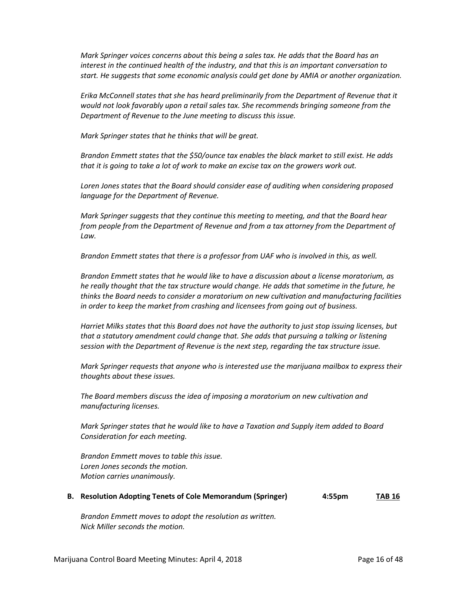*Mark Springer voices concerns about this being a sales tax. He adds that the Board has an interest in the continued health of the industry, and that this is an important conversation to start. He suggests that some economic analysis could get done by AMIA or another organization.*

*Erika McConnell states that she has heard preliminarily from the Department of Revenue that it would not look favorably upon a retail sales tax. She recommends bringing someone from the Department of Revenue to the June meeting to discuss this issue.*

*Mark Springer states that he thinks that will be great.*

*Brandon Emmett states that the \$50/ounce tax enables the black market to still exist. He adds that it is going to take a lot of work to make an excise tax on the growers work out.*

*Loren Jones states that the Board should consider ease of auditing when considering proposed language for the Department of Revenue.*

*Mark Springer suggests that they continue this meeting to meeting, and that the Board hear from people from the Department of Revenue and from a tax attorney from the Department of Law.*

*Brandon Emmett states that there is a professor from UAF who is involved in this, as well.*

*Brandon Emmett states that he would like to have a discussion about a license moratorium, as he really thought that the tax structure would change. He adds that sometime in the future, he thinks the Board needs to consider a moratorium on new cultivation and manufacturing facilities in order to keep the market from crashing and licensees from going out of business.*

*Harriet Milks states that this Board does not have the authority to just stop issuing licenses, but that a statutory amendment could change that. She adds that pursuing a talking or listening session with the Department of Revenue is the next step, regarding the tax structure issue.*

*Mark Springer requests that anyone who is interested use the marijuana mailbox to express their thoughts about these issues.*

*The Board members discuss the idea of imposing a moratorium on new cultivation and manufacturing licenses.*

*Mark Springer states that he would like to have a Taxation and Supply item added to Board Consideration for each meeting.*

*Brandon Emmett moves to table this issue. Loren Jones seconds the motion. Motion carries unanimously.*

|  | B. Resolution Adopting Tenets of Cole Memorandum (Springer) | $4:55$ pm | <b>TAB 16</b> |
|--|-------------------------------------------------------------|-----------|---------------|
|--|-------------------------------------------------------------|-----------|---------------|

*Brandon Emmett moves to adopt the resolution as written. Nick Miller seconds the motion.*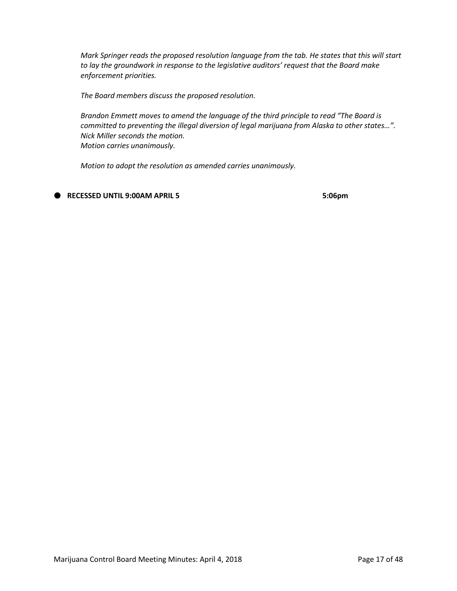*Mark Springer reads the proposed resolution language from the tab. He states that this will start to lay the groundwork in response to the legislative auditors' request that the Board make enforcement priorities.*

*The Board members discuss the proposed resolution.*

*Brandon Emmett moves to amend the language of the third principle to read "The Board is committed to preventing the illegal diversion of legal marijuana from Alaska to other states…". Nick Miller seconds the motion. Motion carries unanimously.*

*Motion to adopt the resolution as amended carries unanimously.*

**RECESSED UNTIL 9:00AM APRIL 5 5:06pm**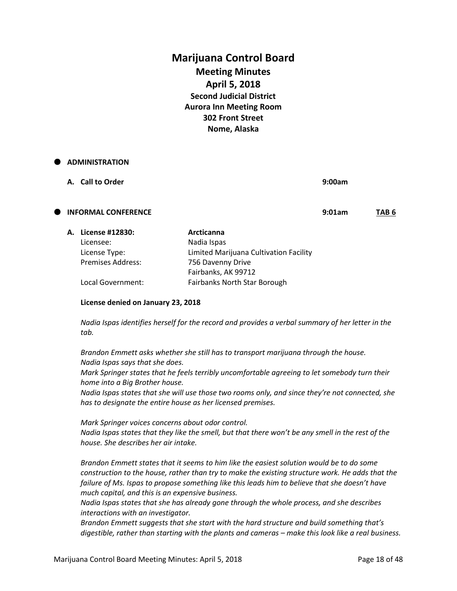# **Marijuana Control Board Meeting Minutes April 5, 2018 Second Judicial District Aurora Inn Meeting Room 302 Front Street Nome, Alaska**

| $\bullet$ | <b>ADMINISTRATION</b>      |                                        |        |                  |
|-----------|----------------------------|----------------------------------------|--------|------------------|
|           | A. Call to Order           |                                        | 9:00am |                  |
| Œ         | <b>INFORMAL CONFERENCE</b> |                                        | 9:01am | TAB <sub>6</sub> |
|           | A. License #12830:         | Arcticanna                             |        |                  |
|           | Licensee:                  | Nadia Ispas                            |        |                  |
|           | License Type:              | Limited Marijuana Cultivation Facility |        |                  |
|           | <b>Premises Address:</b>   | 756 Davenny Drive                      |        |                  |
|           |                            | Fairbanks, AK 99712                    |        |                  |
|           | Local Government:          | <b>Fairbanks North Star Borough</b>    |        |                  |

#### **License denied on January 23, 2018**

*Nadia Ispas identifies herself for the record and provides a verbal summary of her letter in the tab.*

*Brandon Emmett asks whether she still has to transport marijuana through the house. Nadia Ispas says that she does.*

*Mark Springer states that he feels terribly uncomfortable agreeing to let somebody turn their home into a Big Brother house.*

*Nadia Ispas states that she will use those two rooms only, and since they're not connected, she has to designate the entire house as her licensed premises.*

*Mark Springer voices concerns about odor control. Nadia Ispas states that they like the smell, but that there won't be any smell in the rest of the house. She describes her air intake.*

*Brandon Emmett states that it seems to him like the easiest solution would be to do some construction to the house, rather than try to make the existing structure work. He adds that the failure of Ms. Ispas to propose something like this leads him to believe that she doesn't have much capital, and this is an expensive business.*

*Nadia Ispas states that she has already gone through the whole process, and she describes interactions with an investigator.*

*Brandon Emmett suggests that she start with the hard structure and build something that's digestible, rather than starting with the plants and cameras – make this look like a real business.*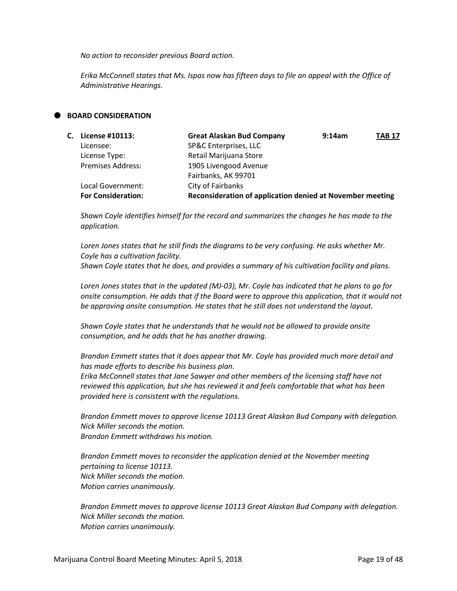*No action to reconsider previous Board action.*

*Erika McConnell states that Ms. Ispas now has fifteen days to file an appeal with the Office of Administrative Hearings.*

## **BOARD CONSIDERATION**

| C. License #10113:        | <b>Great Alaskan Bud Company</b>                          | 9:14am | <b>TAB 17</b> |
|---------------------------|-----------------------------------------------------------|--------|---------------|
| Licensee:                 | SP&C Enterprises, LLC                                     |        |               |
| License Type:             | Retail Marijuana Store                                    |        |               |
| <b>Premises Address:</b>  | 1905 Livengood Avenue                                     |        |               |
|                           | Fairbanks, AK 99701                                       |        |               |
| Local Government:         | City of Fairbanks                                         |        |               |
| <b>For Consideration:</b> | Reconsideration of application denied at November meeting |        |               |

*Shawn Coyle identifies himself for the record and summarizes the changes he has made to the application.*

*Loren Jones states that he still finds the diagrams to be very confusing. He asks whether Mr. Coyle has a cultivation facility. Shawn Coyle states that he does, and provides a summary of his cultivation facility and plans.*

*Loren Jones states that in the updated (MJ-03), Mr. Coyle has indicated that he plans to go for onsite consumption. He adds that if the Board were to approve this application, that it would not be approving onsite consumption. He states that he still does not understand the layout.*

*Shawn Coyle states that he understands that he would not be allowed to provide onsite consumption, and he adds that he has another drawing.*

*Brandon Emmett states that it does appear that Mr. Coyle has provided much more detail and has made efforts to describe his business plan.*

*Erika McConnell states that Jane Sawyer and other members of the licensing staff have not reviewed this application, but she has reviewed it and feels comfortable that what has been provided here is consistent with the regulations.*

*Brandon Emmett moves to approve license 10113 Great Alaskan Bud Company with delegation. Nick Miller seconds the motion. Brandon Emmett withdraws his motion.*

*Brandon Emmett moves to reconsider the application denied at the November meeting pertaining to license 10113. Nick Miller seconds the motion. Motion carries unanimously.*

*Brandon Emmett moves to approve license 10113 Great Alaskan Bud Company with delegation. Nick Miller seconds the motion. Motion carries unanimously.*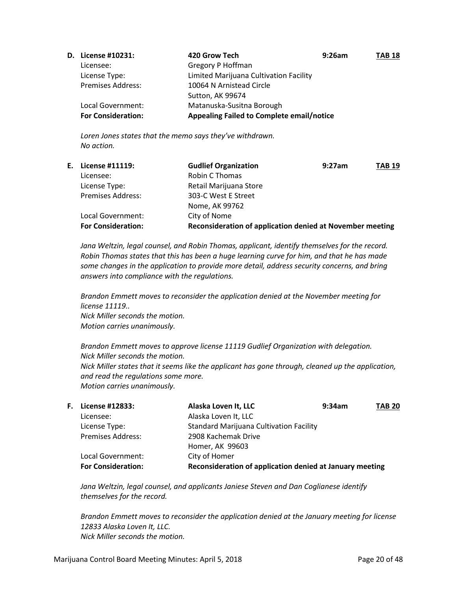| <b>D.</b> License #10231: | 420 Grow Tech                                    | 9:26am | <b>TAB 18</b> |
|---------------------------|--------------------------------------------------|--------|---------------|
| Licensee:                 | Gregory P Hoffman                                |        |               |
| License Type:             | Limited Marijuana Cultivation Facility           |        |               |
| <b>Premises Address:</b>  | 10064 N Arnistead Circle                         |        |               |
|                           | Sutton, AK 99674                                 |        |               |
| Local Government:         | Matanuska-Susitna Borough                        |        |               |
| <b>For Consideration:</b> | <b>Appealing Failed to Complete email/notice</b> |        |               |

*Loren Jones states that the memo says they've withdrawn. No action.*

| E. License #11119:        | <b>Gudlief Organization</b><br>9:27am                     | <b>TAB 19</b> |
|---------------------------|-----------------------------------------------------------|---------------|
| Licensee:                 | Robin C Thomas                                            |               |
| License Type:             | Retail Marijuana Store                                    |               |
| <b>Premises Address:</b>  | 303-C West E Street                                       |               |
|                           | Nome, AK 99762                                            |               |
| Local Government:         | City of Nome                                              |               |
| <b>For Consideration:</b> | Reconsideration of application denied at November meeting |               |

*Jana Weltzin, legal counsel, and Robin Thomas, applicant, identify themselves for the record. Robin Thomas states that this has been a huge learning curve for him, and that he has made some changes in the application to provide more detail, address security concerns, and bring answers into compliance with the regulations.*

*Brandon Emmett moves to reconsider the application denied at the November meeting for license 11119.. Nick Miller seconds the motion. Motion carries unanimously.*

*Brandon Emmett moves to approve license 11119 Gudlief Organization with delegation. Nick Miller seconds the motion. Nick Miller states that it seems like the applicant has gone through, cleaned up the application, and read the regulations some more. Motion carries unanimously.*

| <b>F.</b> License #12833: | Alaska Loven It, LLC                                     | 9:34am | <b>TAB 20</b> |
|---------------------------|----------------------------------------------------------|--------|---------------|
| Licensee:                 | Alaska Loven It, LLC                                     |        |               |
| License Type:             | <b>Standard Marijuana Cultivation Facility</b>           |        |               |
| <b>Premises Address:</b>  | 2908 Kachemak Drive                                      |        |               |
|                           | Homer, AK 99603                                          |        |               |
| Local Government:         | City of Homer                                            |        |               |
| <b>For Consideration:</b> | Reconsideration of application denied at January meeting |        |               |

*Jana Weltzin, legal counsel, and applicants Janiese Steven and Dan Coglianese identify themselves for the record.*

*Brandon Emmett moves to reconsider the application denied at the January meeting for license 12833 Alaska Loven It, LLC. Nick Miller seconds the motion.*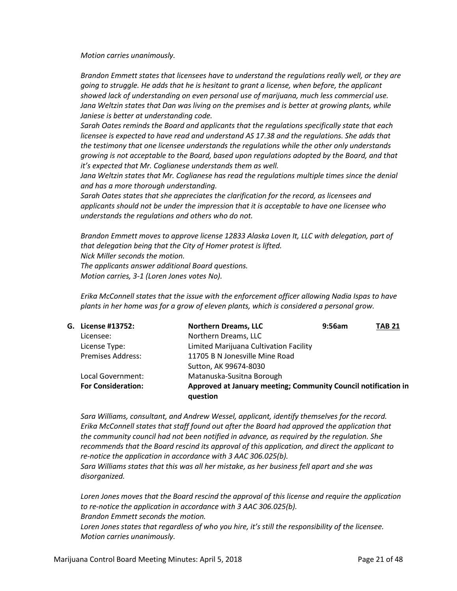*Motion carries unanimously.*

*Brandon Emmett states that licensees have to understand the regulations really well, or they are going to struggle. He adds that he is hesitant to grant a license, when before, the applicant showed lack of understanding on even personal use of marijuana, much less commercial use.* Jana Weltzin states that Dan was living on the premises and is better at growing plants, while *Janiese is better at understanding code.*

*Sarah Oates reminds the Board and applicants that the regulations specifically state that each licensee is expected to have read and understand AS 17.38 and the regulations. She adds that the testimony that one licensee understands the regulations while the other only understands growing is not acceptable to the Board, based upon regulations adopted by the Board, and that it's expected that Mr. Coglianese understands them as well.*

Jana Weltzin states that Mr. Coglianese has read the regulations multiple times since the denial *and has a more thorough understanding.*

*Sarah Oates states that she appreciates the clarification for the record, as licensees and applicants should not be under the impression that it is acceptable to have one licensee who understands the regulations and others who do not.*

*Brandon Emmett moves to approve license 12833 Alaska Loven It, LLC with delegation, part of that delegation being that the City of Homer protest is lifted. Nick Miller seconds the motion. The applicants answer additional Board questions. Motion carries, 3-1 (Loren Jones votes No).*

*Erika McConnell states that the issue with the enforcement officer allowing Nadia Ispas to have plants in her home was for a grow of eleven plants, which is considered a personal grow.*

| G. License #13752:        | <b>Northern Dreams, LLC</b>                                                | 9:56am | <b>TAB 21</b> |
|---------------------------|----------------------------------------------------------------------------|--------|---------------|
| Licensee:                 | Northern Dreams, LLC                                                       |        |               |
| License Type:             | Limited Marijuana Cultivation Facility                                     |        |               |
| <b>Premises Address:</b>  | 11705 B N Jonesville Mine Road                                             |        |               |
|                           | Sutton, AK 99674-8030                                                      |        |               |
| Local Government:         | Matanuska-Susitna Borough                                                  |        |               |
| <b>For Consideration:</b> | Approved at January meeting; Community Council notification in<br>question |        |               |

*Sara Williams, consultant, and Andrew Wessel, applicant, identify themselves for the record. Erika McConnell states that staff found out after the Board had approved the application that the community council had not been notified in advance, as required by the regulation. She recommends that the Board rescind its approval of this application, and direct the applicant to re-notice the application in accordance with 3 AAC 306.025(b). Sara Williams states that this was all her mistake, as her business fell apart and she was* 

*disorganized.*

*Loren Jones moves that the Board rescind the approval of this license and require the application to re-notice the application in accordance with 3 AAC 306.025(b). Brandon Emmett seconds the motion. Loren Jones states that regardless of who you hire, it's still the responsibility of the licensee. Motion carries unanimously.*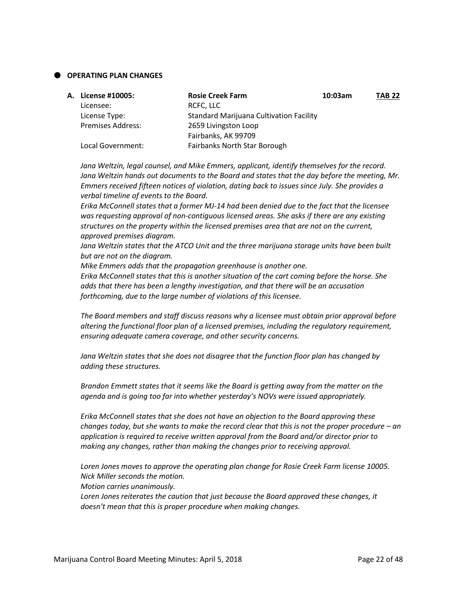# **OPERATING PLAN CHANGES**

| A. License #10005:       | <b>Rosie Creek Farm</b>                        | 10:03am | <b>TAB 22</b> |
|--------------------------|------------------------------------------------|---------|---------------|
| Licensee:                | RCFC, LLC                                      |         |               |
| License Type:            | <b>Standard Marijuana Cultivation Facility</b> |         |               |
| <b>Premises Address:</b> | 2659 Livingston Loop                           |         |               |
|                          | Fairbanks, AK 99709                            |         |               |
| Local Government:        | <b>Fairbanks North Star Borough</b>            |         |               |
|                          |                                                |         |               |

*Jana Weltzin, legal counsel, and Mike Emmers, applicant, identify themselves for the record. Jana Weltzin hands out documents to the Board and states that the day before the meeting, Mr. Emmers received fifteen notices of violation, dating back to issues since July. She provides a verbal timeline of events to the Board.*

*Erika McConnell states that a former MJ-14 had been denied due to the fact that the licensee was requesting approval of non-contiguous licensed areas. She asks if there are any existing structures on the property within the licensed premises area that are not on the current, approved premises diagram.*

*Jana Weltzin states that the ATCO Unit and the three marijuana storage units have been built but are not on the diagram.*

*Mike Emmers adds that the propagation greenhouse is another one.*

*Erika McConnell states that this is another situation of the cart coming before the horse. She adds that there has been a lengthy investigation, and that there will be an accusation forthcoming, due to the large number of violations of this licensee.*

*The Board members and staff discuss reasons why a licensee must obtain prior approval before altering the functional floor plan of a licensed premises, including the regulatory requirement, ensuring adequate camera coverage, and other security concerns.*

*Jana Weltzin states that she does not disagree that the function floor plan has changed by adding these structures.*

*Brandon Emmett states that it seems like the Board is getting away from the matter on the agenda and is going too far into whether yesterday's NOVs were issued appropriately.*

*Erika McConnell states that she does not have an objection to the Board approving these changes today, but she wants to make the record clear that this is not the proper procedure – an application is required to receive written approval from the Board and/or director prior to making any changes, rather than making the changes prior to receiving approval.*

*Loren Jones moves to approve the operating plan change for Rosie Creek Farm license 10005. Nick Miller seconds the motion.*

*Motion carries unanimously.*

*Loren Jones reiterates the caution that just because the Board approved these changes, it doesn't mean that this is proper procedure when making changes.*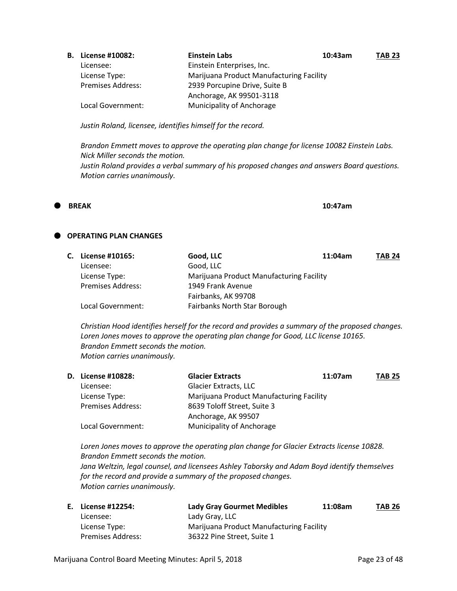| <b>B.</b> License #10082: | <b>Einstein Labs</b>                     | 10:43am | <b>TAB 23</b> |
|---------------------------|------------------------------------------|---------|---------------|
| Licensee:                 | Einstein Enterprises, Inc.               |         |               |
| License Type:             | Marijuana Product Manufacturing Facility |         |               |
| <b>Premises Address:</b>  | 2939 Porcupine Drive, Suite B            |         |               |
|                           | Anchorage, AK 99501-3118                 |         |               |
| Local Government:         | Municipality of Anchorage                |         |               |

*Justin Roland, licensee, identifies himself for the record.*

*Brandon Emmett moves to approve the operating plan change for license 10082 Einstein Labs. Nick Miller seconds the motion. Justin Roland provides a verbal summary of his proposed changes and answers Board questions. Motion carries unanimously.*

 **BREAK 10:47am**

# **P** OPERATING PLAN CHANGES

| C. License #10165:       | Good, LLC                                | 11:04am | <b>TAB 24</b> |
|--------------------------|------------------------------------------|---------|---------------|
| Licensee:                | Good, LLC                                |         |               |
| License Type:            | Marijuana Product Manufacturing Facility |         |               |
| <b>Premises Address:</b> | 1949 Frank Avenue                        |         |               |
|                          | Fairbanks, AK 99708                      |         |               |
| Local Government:        | Fairbanks North Star Borough             |         |               |

*Christian Hood identifies herself for the record and provides a summary of the proposed changes. Loren Jones moves to approve the operating plan change for Good, LLC license 10165. Brandon Emmett seconds the motion. Motion carries unanimously.*

| <b>D.</b> License #10828: | <b>Glacier Extracts</b>                  | 11:07am | <b>TAB 25</b> |
|---------------------------|------------------------------------------|---------|---------------|
| Licensee:                 | <b>Glacier Extracts, LLC</b>             |         |               |
| License Type:             | Marijuana Product Manufacturing Facility |         |               |
| <b>Premises Address:</b>  | 8639 Toloff Street, Suite 3              |         |               |
|                           | Anchorage, AK 99507                      |         |               |
| Local Government:         | <b>Municipality of Anchorage</b>         |         |               |

*Loren Jones moves to approve the operating plan change for Glacier Extracts license 10828. Brandon Emmett seconds the motion. Jana Weltzin, legal counsel, and licensees Ashley Taborsky and Adam Boyd identify themselves for the record and provide a summary of the proposed changes. Motion carries unanimously.*

| E. License #12254:       | <b>Lady Gray Gourmet Medibles</b>        | 11:08am | <b>TAB 26</b> |
|--------------------------|------------------------------------------|---------|---------------|
| Licensee:                | Lady Gray, LLC                           |         |               |
| License Type:            | Marijuana Product Manufacturing Facility |         |               |
| <b>Premises Address:</b> | 36322 Pine Street. Suite 1               |         |               |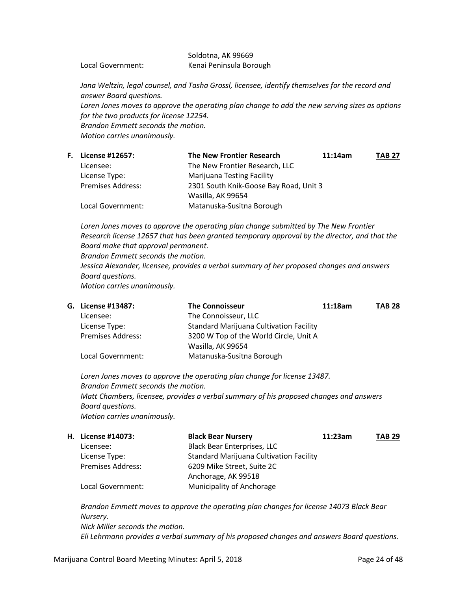# Soldotna, AK 99669 Local Government: Kenai Peninsula Borough

*Jana Weltzin, legal counsel, and Tasha Grossl, licensee, identify themselves for the record and answer Board questions. Loren Jones moves to approve the operating plan change to add the new serving sizes as options for the two products for license 12254. Brandon Emmett seconds the motion. Motion carries unanimously.*

|                          | <b>The New Frontier Research</b>  | 11:14am | <b>TAB 27</b>                          |
|--------------------------|-----------------------------------|---------|----------------------------------------|
| Licensee:                | The New Frontier Research, LLC    |         |                                        |
| License Type:            | <b>Marijuana Testing Facility</b> |         |                                        |
| <b>Premises Address:</b> |                                   |         |                                        |
|                          | Wasilla, AK 99654                 |         |                                        |
| Local Government:        | Matanuska-Susitna Borough         |         |                                        |
|                          | <b>F.</b> License #12657:         |         | 2301 South Knik-Goose Bay Road, Unit 3 |

Loren Jones moves to approve the operating plan change submitted by The New Frontier *Research license 12657 that has been granted temporary approval by the director, and that the Board make that approval permanent. Brandon Emmett seconds the motion. Jessica Alexander, licensee, provides a verbal summary of her proposed changes and answers Board questions.*

*Motion carries unanimously.*

| G. License #13487:       | <b>The Connoisseur</b>                         | 11:18am | <b>TAB 28</b> |
|--------------------------|------------------------------------------------|---------|---------------|
| Licensee:                | The Connoisseur, LLC                           |         |               |
| License Type:            | <b>Standard Marijuana Cultivation Facility</b> |         |               |
| <b>Premises Address:</b> | 3200 W Top of the World Circle, Unit A         |         |               |
|                          | Wasilla, AK 99654                              |         |               |
| Local Government:        | Matanuska-Susitna Borough                      |         |               |

*Loren Jones moves to approve the operating plan change for license 13487. Brandon Emmett seconds the motion. Matt Chambers, licensee, provides a verbal summary of his proposed changes and answers Board questions. Motion carries unanimously.*

| H. License #14073:       | <b>Black Bear Nursery</b>                      | 11:23am | <b>TAB 29</b> |
|--------------------------|------------------------------------------------|---------|---------------|
| Licensee:                | <b>Black Bear Enterprises, LLC</b>             |         |               |
| License Type:            | <b>Standard Marijuana Cultivation Facility</b> |         |               |
| <b>Premises Address:</b> | 6209 Mike Street, Suite 2C                     |         |               |
|                          | Anchorage, AK 99518                            |         |               |
| Local Government:        | Municipality of Anchorage                      |         |               |

*Brandon Emmett moves to approve the operating plan changes for license 14073 Black Bear Nursery. Nick Miller seconds the motion. Eli Lehrmann provides a verbal summary of his proposed changes and answers Board questions.*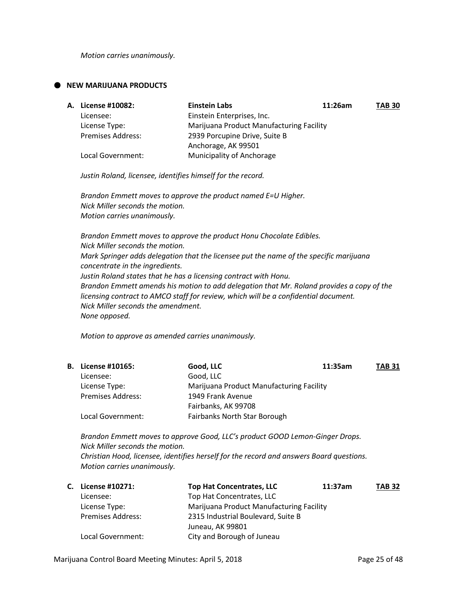*Motion carries unanimously.*

## **NEW MARIJUANA PRODUCTS**

| <b>A. License #10082:</b> | <b>Einstein Labs</b>                     | 11:26am | <b>TAB 30</b> |
|---------------------------|------------------------------------------|---------|---------------|
| Licensee:                 | Einstein Enterprises, Inc.               |         |               |
| License Type:             | Marijuana Product Manufacturing Facility |         |               |
| <b>Premises Address:</b>  | 2939 Porcupine Drive, Suite B            |         |               |
|                           | Anchorage, AK 99501                      |         |               |
| Local Government:         | Municipality of Anchorage                |         |               |

*Justin Roland, licensee, identifies himself for the record.*

*Brandon Emmett moves to approve the product named E=U Higher. Nick Miller seconds the motion. Motion carries unanimously.*

*Brandon Emmett moves to approve the product Honu Chocolate Edibles. Nick Miller seconds the motion. Mark Springer adds delegation that the licensee put the name of the specific marijuana concentrate in the ingredients. Justin Roland states that he has a licensing contract with Honu. Brandon Emmett amends his motion to add delegation that Mr. Roland provides a copy of the licensing contract to AMCO staff for review, which will be a confidential document. Nick Miller seconds the amendment. None opposed.*

*Motion to approve as amended carries unanimously.*

| <b>B.</b> License #10165: | Good, LLC<br>11:35am                     | <b>TAB 31</b> |
|---------------------------|------------------------------------------|---------------|
| Licensee:                 | Good, LLC                                |               |
| License Type:             | Marijuana Product Manufacturing Facility |               |
| <b>Premises Address:</b>  | 1949 Frank Avenue                        |               |
|                           | Fairbanks, AK 99708                      |               |
| Local Government:         | <b>Fairbanks North Star Borough</b>      |               |
|                           |                                          |               |

*Brandon Emmett moves to approve Good, LLC's product GOOD Lemon-Ginger Drops. Nick Miller seconds the motion. Christian Hood, licensee, identifies herself for the record and answers Board questions. Motion carries unanimously.*

| C. License #10271:       | <b>Top Hat Concentrates, LLC</b>         | 11:37am | <b>TAB 32</b> |
|--------------------------|------------------------------------------|---------|---------------|
| Licensee:                | Top Hat Concentrates, LLC                |         |               |
| License Type:            | Marijuana Product Manufacturing Facility |         |               |
| <b>Premises Address:</b> | 2315 Industrial Boulevard, Suite B       |         |               |
|                          | Juneau, AK 99801                         |         |               |
| Local Government:        | City and Borough of Juneau               |         |               |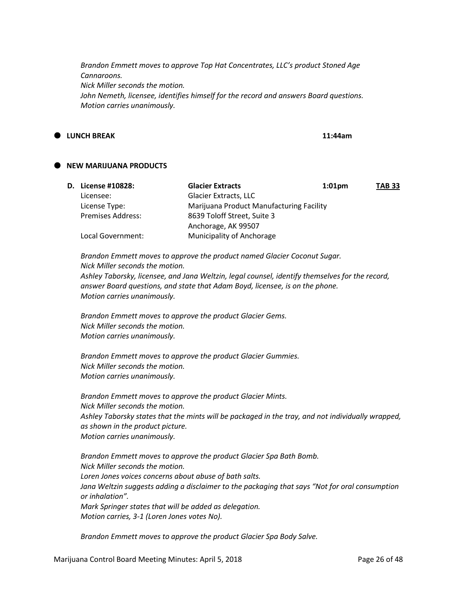*Brandon Emmett moves to approve Top Hat Concentrates, LLC's product Stoned Age Cannaroons. Nick Miller seconds the motion. John Nemeth, licensee, identifies himself for the record and answers Board questions. Motion carries unanimously.*

# **LUNCH BREAK 11:44am**

# **NEW MARIJUANA PRODUCTS**

| <b>D.</b> License #10828: | <b>Glacier Extracts</b>                  | $1:01$ pm | <b>TAB 33</b> |
|---------------------------|------------------------------------------|-----------|---------------|
| Licensee:                 | <b>Glacier Extracts, LLC</b>             |           |               |
| License Type:             | Marijuana Product Manufacturing Facility |           |               |
| <b>Premises Address:</b>  | 8639 Toloff Street, Suite 3              |           |               |
|                           | Anchorage, AK 99507                      |           |               |
| Local Government:         | Municipality of Anchorage                |           |               |

*Brandon Emmett moves to approve the product named Glacier Coconut Sugar. Nick Miller seconds the motion.*

*Ashley Taborsky, licensee, and Jana Weltzin, legal counsel, identify themselves for the record, answer Board questions, and state that Adam Boyd, licensee, is on the phone. Motion carries unanimously.*

*Brandon Emmett moves to approve the product Glacier Gems. Nick Miller seconds the motion. Motion carries unanimously.*

*Brandon Emmett moves to approve the product Glacier Gummies. Nick Miller seconds the motion. Motion carries unanimously.*

*Brandon Emmett moves to approve the product Glacier Mints. Nick Miller seconds the motion. Ashley Taborsky states that the mints will be packaged in the tray, and not individually wrapped, as shown in the product picture. Motion carries unanimously.*

*Brandon Emmett moves to approve the product Glacier Spa Bath Bomb. Nick Miller seconds the motion. Loren Jones voices concerns about abuse of bath salts. Jana Weltzin suggests adding a disclaimer to the packaging that says "Not for oral consumption or inhalation". Mark Springer states that will be added as delegation. Motion carries, 3-1 (Loren Jones votes No).*

*Brandon Emmett moves to approve the product Glacier Spa Body Salve.*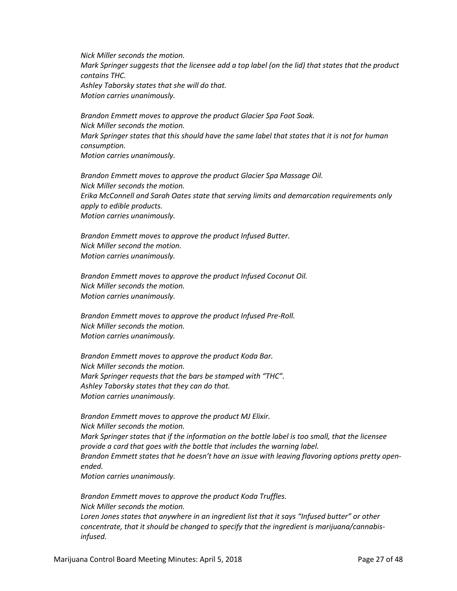*Nick Miller seconds the motion. Mark Springer suggests that the licensee add a top label (on the lid) that states that the product contains THC. Ashley Taborsky states that she will do that. Motion carries unanimously.*

*Brandon Emmett moves to approve the product Glacier Spa Foot Soak. Nick Miller seconds the motion. Mark Springer states that this should have the same label that states that it is not for human consumption. Motion carries unanimously.*

*Brandon Emmett moves to approve the product Glacier Spa Massage Oil. Nick Miller seconds the motion. Erika McConnell and Sarah Oates state that serving limits and demarcation requirements only apply to edible products. Motion carries unanimously.*

*Brandon Emmett moves to approve the product Infused Butter. Nick Miller second the motion. Motion carries unanimously.*

*Brandon Emmett moves to approve the product Infused Coconut Oil. Nick Miller seconds the motion. Motion carries unanimously.*

*Brandon Emmett moves to approve the product Infused Pre-Roll. Nick Miller seconds the motion. Motion carries unanimously.*

*Brandon Emmett moves to approve the product Koda Bar. Nick Miller seconds the motion. Mark Springer requests that the bars be stamped with "THC". Ashley Taborsky states that they can do that. Motion carries unanimously.*

*Brandon Emmett moves to approve the product MJ Elixir. Nick Miller seconds the motion. Mark Springer states that if the information on the bottle label is too small, that the licensee provide a card that goes with the bottle that includes the warning label.* Brandon Emmett states that he doesn't have an issue with leaving flavoring options pretty open*ended. Motion carries unanimously.*

*Brandon Emmett moves to approve the product Koda Truffles. Nick Miller seconds the motion. Loren Jones states that anywhere in an ingredient list that it says "Infused butter" or other concentrate, that it should be changed to specify that the ingredient is marijuana/cannabisinfused.*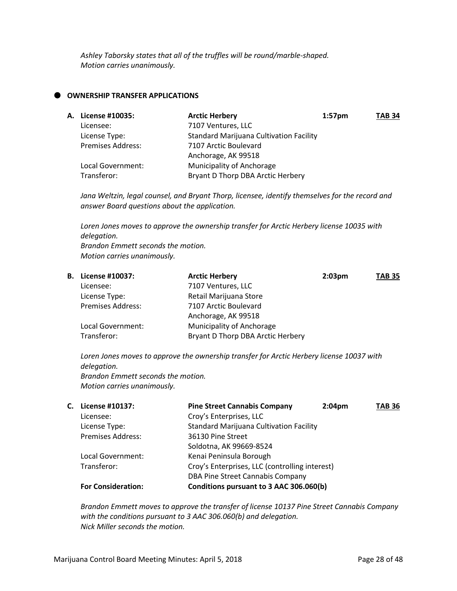*Ashley Taborsky states that all of the truffles will be round/marble-shaped. Motion carries unanimously.*

## **OWNERSHIP TRANSFER APPLICATIONS**

| <b>A. License #10035:</b> | <b>Arctic Herbery</b>                          | $1:57$ pm | <b>TAB 34</b> |
|---------------------------|------------------------------------------------|-----------|---------------|
| Licensee:                 | 7107 Ventures, LLC                             |           |               |
| License Type:             | <b>Standard Marijuana Cultivation Facility</b> |           |               |
| <b>Premises Address:</b>  | 7107 Arctic Boulevard                          |           |               |
|                           | Anchorage, AK 99518                            |           |               |
| Local Government:         | Municipality of Anchorage                      |           |               |
| Transferor:               | Bryant D Thorp DBA Arctic Herbery              |           |               |
|                           |                                                |           |               |

*Jana Weltzin, legal counsel, and Bryant Thorp, licensee, identify themselves for the record and answer Board questions about the application.*

*Loren Jones moves to approve the ownership transfer for Arctic Herbery license 10035 with delegation. Brandon Emmett seconds the motion. Motion carries unanimously.*

| <b>B.</b> License #10037: | <b>Arctic Herbery</b>             | $2:03 \text{pm}$ | <b>TAB 35</b> |
|---------------------------|-----------------------------------|------------------|---------------|
| Licensee:                 | 7107 Ventures, LLC                |                  |               |
| License Type:             | Retail Marijuana Store            |                  |               |
| <b>Premises Address:</b>  | 7107 Arctic Boulevard             |                  |               |
|                           | Anchorage, AK 99518               |                  |               |
| Local Government:         | Municipality of Anchorage         |                  |               |
| Transferor:               | Bryant D Thorp DBA Arctic Herbery |                  |               |

*Loren Jones moves to approve the ownership transfer for Arctic Herbery license 10037 with delegation. Brandon Emmett seconds the motion. Motion carries unanimously.*

| С. | License #10137:           | <b>Pine Street Cannabis Company</b>            | 2:04 <sub>pm</sub> | <b>TAB 36</b> |
|----|---------------------------|------------------------------------------------|--------------------|---------------|
|    | Licensee:                 | Croy's Enterprises, LLC                        |                    |               |
|    | License Type:             | <b>Standard Marijuana Cultivation Facility</b> |                    |               |
|    | <b>Premises Address:</b>  | 36130 Pine Street                              |                    |               |
|    |                           | Soldotna, AK 99669-8524                        |                    |               |
|    | Local Government:         | Kenai Peninsula Borough                        |                    |               |
|    | Transferor:               | Croy's Enterprises, LLC (controlling interest) |                    |               |
|    |                           | DBA Pine Street Cannabis Company               |                    |               |
|    | <b>For Consideration:</b> | Conditions pursuant to 3 AAC 306.060(b)        |                    |               |

*Brandon Emmett moves to approve the transfer of license 10137 Pine Street Cannabis Company with the conditions pursuant to 3 AAC 306.060(b) and delegation. Nick Miller seconds the motion.*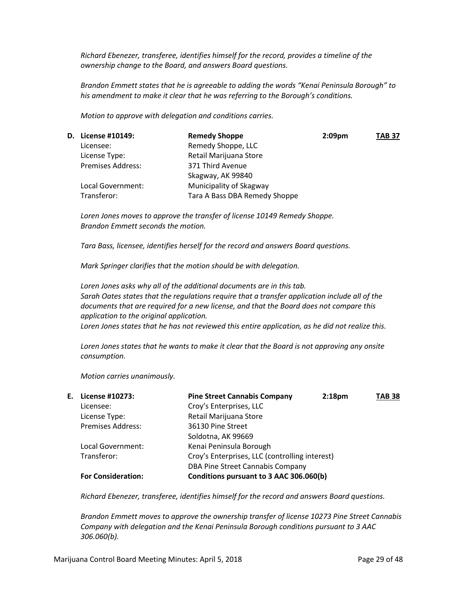*Richard Ebenezer, transferee, identifies himself for the record, provides a timeline of the ownership change to the Board, and answers Board questions.*

*Brandon Emmett states that he is agreeable to adding the words "Kenai Peninsula Borough" to his amendment to make it clear that he was referring to the Borough's conditions.*

*Motion to approve with delegation and conditions carries.*

| <b>D.</b> License #10149: | <b>Remedy Shoppe</b>          | 2:09 <sub>pm</sub> | <b>TAB 37</b> |
|---------------------------|-------------------------------|--------------------|---------------|
| Licensee:                 | Remedy Shoppe, LLC            |                    |               |
| License Type:             | Retail Marijuana Store        |                    |               |
| <b>Premises Address:</b>  | 371 Third Avenue              |                    |               |
|                           | Skagway, AK 99840             |                    |               |
| Local Government:         | Municipality of Skagway       |                    |               |
| Transferor:               | Tara A Bass DBA Remedy Shoppe |                    |               |
|                           |                               |                    |               |

*Loren Jones moves to approve the transfer of license 10149 Remedy Shoppe. Brandon Emmett seconds the motion.*

*Tara Bass, licensee, identifies herself for the record and answers Board questions.*

*Mark Springer clarifies that the motion should be with delegation.*

*Loren Jones asks why all of the additional documents are in this tab. Sarah Oates states that the regulations require that a transfer application include all of the documents that are required for a new license, and that the Board does not compare this application to the original application. Loren Jones states that he has not reviewed this entire application, as he did not realize this.*

*Loren Jones states that he wants to make it clear that the Board is not approving any onsite consumption.*

*Motion carries unanimously.*

| Е. | License #10273:           | <b>Pine Street Cannabis Company</b>            | 2:18 <sub>pm</sub> | <b>TAB 38</b> |
|----|---------------------------|------------------------------------------------|--------------------|---------------|
|    | Licensee:                 | Croy's Enterprises, LLC                        |                    |               |
|    | License Type:             | Retail Marijuana Store                         |                    |               |
|    | <b>Premises Address:</b>  | 36130 Pine Street                              |                    |               |
|    |                           | Soldotna, AK 99669                             |                    |               |
|    | Local Government:         | Kenai Peninsula Borough                        |                    |               |
|    | Transferor:               | Croy's Enterprises, LLC (controlling interest) |                    |               |
|    |                           | DBA Pine Street Cannabis Company               |                    |               |
|    | <b>For Consideration:</b> | Conditions pursuant to 3 AAC 306.060(b)        |                    |               |

*Richard Ebenezer, transferee, identifies himself for the record and answers Board questions.*

*Brandon Emmett moves to approve the ownership transfer of license 10273 Pine Street Cannabis Company with delegation and the Kenai Peninsula Borough conditions pursuant to 3 AAC 306.060(b).*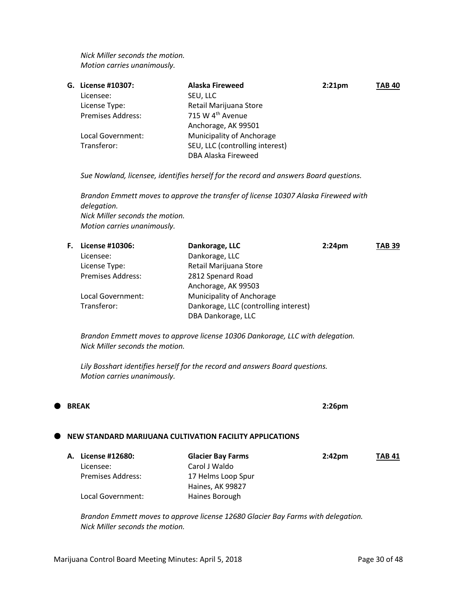*Nick Miller seconds the motion. Motion carries unanimously.*

| G. License #10307:       | <b>Alaska Fireweed</b>          | 2:21 <sub>pm</sub> | <b>TAB 40</b> |
|--------------------------|---------------------------------|--------------------|---------------|
| Licensee:                | SEU, LLC                        |                    |               |
| License Type:            | Retail Marijuana Store          |                    |               |
| <b>Premises Address:</b> | 715 W 4 <sup>th</sup> Avenue    |                    |               |
|                          | Anchorage, AK 99501             |                    |               |
| Local Government:        | Municipality of Anchorage       |                    |               |
| Transferor:              | SEU, LLC (controlling interest) |                    |               |
|                          | DBA Alaska Fireweed             |                    |               |
|                          |                                 |                    |               |

*Sue Nowland, licensee, identifies herself for the record and answers Board questions.*

*Brandon Emmett moves to approve the transfer of license 10307 Alaska Fireweed with delegation. Nick Miller seconds the motion. Motion carries unanimously.*

| F. | License #10306:          | Dankorage, LLC                        | 2:24 <sub>pm</sub> | <b>TAB 39</b> |
|----|--------------------------|---------------------------------------|--------------------|---------------|
|    | Licensee:                | Dankorage, LLC                        |                    |               |
|    | License Type:            | Retail Marijuana Store                |                    |               |
|    | <b>Premises Address:</b> | 2812 Spenard Road                     |                    |               |
|    |                          | Anchorage, AK 99503                   |                    |               |
|    | Local Government:        | Municipality of Anchorage             |                    |               |
|    | Transferor:              | Dankorage, LLC (controlling interest) |                    |               |
|    |                          | DBA Dankorage, LLC                    |                    |               |

*Brandon Emmett moves to approve license 10306 Dankorage, LLC with delegation. Nick Miller seconds the motion.*

*Lily Bosshart identifies herself for the record and answers Board questions. Motion carries unanimously.* 

# **NEW STANDARD MARIJUANA CULTIVATION FACILITY APPLICATIONS**

| A. License #12680:       | <b>Glacier Bay Farms</b> | $2:42 \text{pm}$ | <b>TAB 41</b> |
|--------------------------|--------------------------|------------------|---------------|
| Licensee:                | Carol J Waldo            |                  |               |
| <b>Premises Address:</b> | 17 Helms Loop Spur       |                  |               |
|                          | Haines, AK 99827         |                  |               |
| Local Government:        | Haines Borough           |                  |               |

*Brandon Emmett moves to approve license 12680 Glacier Bay Farms with delegation. Nick Miller seconds the motion.*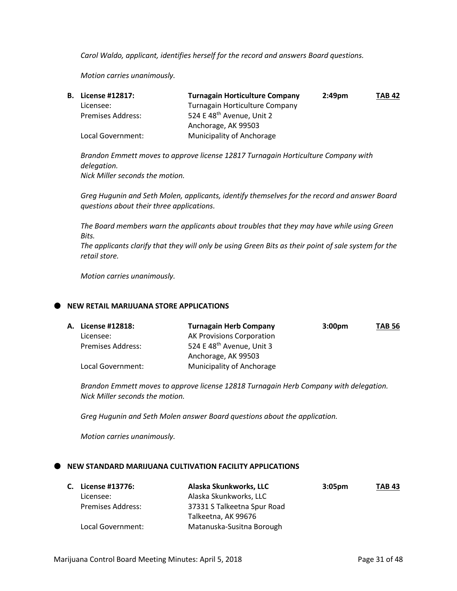*Carol Waldo, applicant, identifies herself for the record and answers Board questions.*

*Motion carries unanimously.*

| <b>B.</b> License #12817: | <b>Turnagain Horticulture Company</b> | $2:49$ pm | <b>TAB 42</b> |
|---------------------------|---------------------------------------|-----------|---------------|
| Licensee:                 | Turnagain Horticulture Company        |           |               |
| <b>Premises Address:</b>  | 524 E 48 <sup>th</sup> Avenue, Unit 2 |           |               |
|                           | Anchorage, AK 99503                   |           |               |
| Local Government:         | Municipality of Anchorage             |           |               |

*Brandon Emmett moves to approve license 12817 Turnagain Horticulture Company with delegation. Nick Miller seconds the motion.*

*Greg Hugunin and Seth Molen, applicants, identify themselves for the record and answer Board questions about their three applications.*

*The Board members warn the applicants about troubles that they may have while using Green Bits.*

*The applicants clarify that they will only be using Green Bits as their point of sale system for the retail store.*

*Motion carries unanimously.*

#### **NEW RETAIL MARIJUANA STORE APPLICATIONS**

| <b>A. License #12818:</b> | <b>Turnagain Herb Company</b>         | 3:00 <sub>pm</sub> | <b>TAB 56</b> |
|---------------------------|---------------------------------------|--------------------|---------------|
| Licensee:                 | <b>AK Provisions Corporation</b>      |                    |               |
| <b>Premises Address:</b>  | 524 E 48 <sup>th</sup> Avenue, Unit 3 |                    |               |
|                           | Anchorage, AK 99503                   |                    |               |
| Local Government:         | Municipality of Anchorage             |                    |               |

*Brandon Emmett moves to approve license 12818 Turnagain Herb Company with delegation. Nick Miller seconds the motion.*

*Greg Hugunin and Seth Molen answer Board questions about the application.*

*Motion carries unanimously.*

#### **NEW STANDARD MARIJUANA CULTIVATION FACILITY APPLICATIONS**

| C. License #13776:       | Alaska Skunkworks, LLC      | 3:05 <sub>pm</sub> | <b>TAB 43</b> |
|--------------------------|-----------------------------|--------------------|---------------|
| Licensee:                | Alaska Skunkworks, LLC      |                    |               |
| <b>Premises Address:</b> | 37331 S Talkeetna Spur Road |                    |               |
|                          | Talkeetna, AK 99676         |                    |               |
| Local Government:        | Matanuska-Susitna Borough   |                    |               |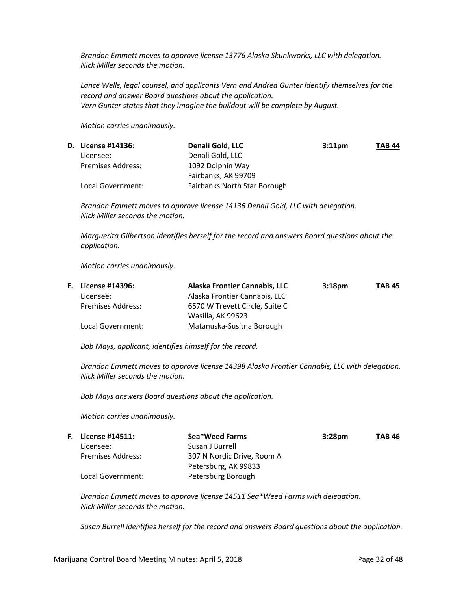*Brandon Emmett moves to approve license 13776 Alaska Skunkworks, LLC with delegation. Nick Miller seconds the motion.*

*Lance Wells, legal counsel, and applicants Vern and Andrea Gunter identify themselves for the record and answer Board questions about the application. Vern Gunter states that they imagine the buildout will be complete by August.*

*Motion carries unanimously.*

|                          | Denali Gold, LLC             | 3:11 <sub>pm</sub> | <b>TAB 44</b> |
|--------------------------|------------------------------|--------------------|---------------|
| Licensee:                | Denali Gold, LLC             |                    |               |
| <b>Premises Address:</b> | 1092 Dolphin Way             |                    |               |
|                          | Fairbanks, AK 99709          |                    |               |
| Local Government:        | Fairbanks North Star Borough |                    |               |
|                          | <b>D.</b> License #14136:    |                    |               |

*Brandon Emmett moves to approve license 14136 Denali Gold, LLC with delegation. Nick Miller seconds the motion.*

*Marguerita Gilbertson identifies herself for the record and answers Board questions about the application.*

*Motion carries unanimously.*

| E. License #14396:       | Alaska Frontier Cannabis, LLC  | 3:18 <sub>pm</sub> | <b>TAB 45</b> |
|--------------------------|--------------------------------|--------------------|---------------|
| Licensee:                | Alaska Frontier Cannabis, LLC  |                    |               |
| <b>Premises Address:</b> | 6570 W Trevett Circle, Suite C |                    |               |
|                          | Wasilla, AK 99623              |                    |               |
| Local Government:        | Matanuska-Susitna Borough      |                    |               |

*Bob Mays, applicant, identifies himself for the record.*

*Brandon Emmett moves to approve license 14398 Alaska Frontier Cannabis, LLC with delegation. Nick Miller seconds the motion.*

*Bob Mays answers Board questions about the application.*

*Motion carries unanimously.*

| <b>F.</b> License #14511: | Sea*Weed Farms             | 3:28 <sub>pm</sub> | <b>TAB 46</b> |
|---------------------------|----------------------------|--------------------|---------------|
| Licensee:                 | Susan J Burrell            |                    |               |
| <b>Premises Address:</b>  | 307 N Nordic Drive, Room A |                    |               |
|                           | Petersburg, AK 99833       |                    |               |
| Local Government:         | Petersburg Borough         |                    |               |

*Brandon Emmett moves to approve license 14511 Sea\*Weed Farms with delegation. Nick Miller seconds the motion.*

*Susan Burrell identifies herself for the record and answers Board questions about the application.*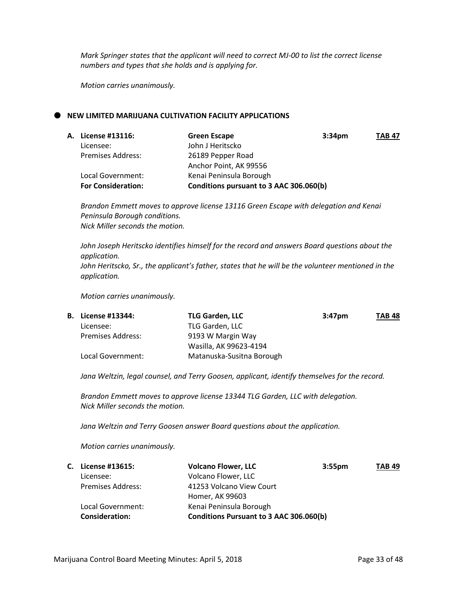*Mark Springer states that the applicant will need to correct MJ-00 to list the correct license numbers and types that she holds and is applying for.*

*Motion carries unanimously.*

## **NEW LIMITED MARIJUANA CULTIVATION FACILITY APPLICATIONS**

| <b>A. License #13116:</b> | <b>Green Escape</b><br>3:34 <sub>pm</sub> | <b>TAB 47</b> |
|---------------------------|-------------------------------------------|---------------|
| Licensee:                 | John J Heritscko                          |               |
| <b>Premises Address:</b>  | 26189 Pepper Road                         |               |
|                           | Anchor Point, AK 99556                    |               |
| Local Government:         | Kenai Peninsula Borough                   |               |
| <b>For Consideration:</b> | Conditions pursuant to 3 AAC 306.060(b)   |               |

*Brandon Emmett moves to approve license 13116 Green Escape with delegation and Kenai Peninsula Borough conditions. Nick Miller seconds the motion.*

*John Joseph Heritscko identifies himself for the record and answers Board questions about the application. John Heritscko, Sr., the applicant's father, states that he will be the volunteer mentioned in the application.*

*Motion carries unanimously.*

| <b>B.</b> License #13344: | <b>TLG Garden, LLC</b>    | 3:47 <sub>pm</sub> | <b>TAB 48</b> |
|---------------------------|---------------------------|--------------------|---------------|
| Licensee:                 | TLG Garden, LLC           |                    |               |
| <b>Premises Address:</b>  | 9193 W Margin Way         |                    |               |
|                           | Wasilla, AK 99623-4194    |                    |               |
| Local Government:         | Matanuska-Susitna Borough |                    |               |

*Jana Weltzin, legal counsel, and Terry Goosen, applicant, identify themselves for the record.*

*Brandon Emmett moves to approve license 13344 TLG Garden, LLC with delegation. Nick Miller seconds the motion.*

*Jana Weltzin and Terry Goosen answer Board questions about the application.*

*Motion carries unanimously.*

|                          | <b>Volcano Flower, LLC</b> | <b>TAB 49</b>                                                 |
|--------------------------|----------------------------|---------------------------------------------------------------|
| Licensee:                | Volcano Flower, LLC        |                                                               |
| <b>Premises Address:</b> | 41253 Volcano View Court   |                                                               |
|                          | Homer, AK 99603            |                                                               |
| Local Government:        | Kenai Peninsula Borough    |                                                               |
| <b>Consideration:</b>    |                            |                                                               |
|                          | C. License #13615:         | 3:55 <sub>pm</sub><br>Conditions Pursuant to 3 AAC 306.060(b) |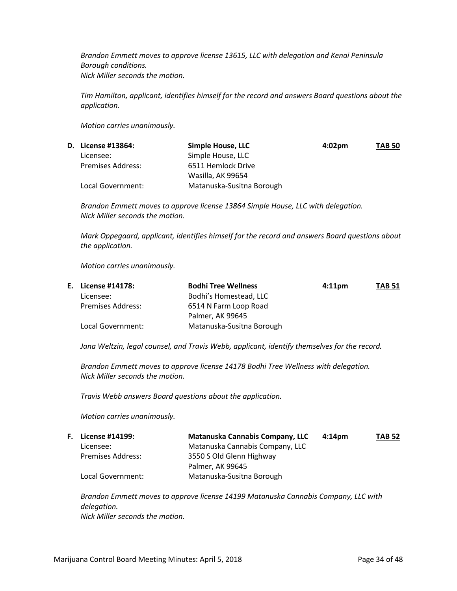*Brandon Emmett moves to approve license 13615, LLC with delegation and Kenai Peninsula Borough conditions. Nick Miller seconds the motion.*

*Tim Hamilton, applicant, identifies himself for the record and answers Board questions about the application.*

*Motion carries unanimously.*

|                          | Simple House, LLC         | $4:02 \text{pm}$ | <b>TAB 50</b> |
|--------------------------|---------------------------|------------------|---------------|
| Licensee:                | Simple House, LLC         |                  |               |
| <b>Premises Address:</b> | 6511 Hemlock Drive        |                  |               |
|                          | Wasilla, AK 99654         |                  |               |
| Local Government:        | Matanuska-Susitna Borough |                  |               |
|                          | <b>D.</b> License #13864: |                  |               |

*Brandon Emmett moves to approve license 13864 Simple House, LLC with delegation. Nick Miller seconds the motion.*

*Mark Oppegaard, applicant, identifies himself for the record and answers Board questions about the application.*

*Motion carries unanimously.*

| E. License #14178:       | <b>Bodhi Tree Wellness</b> | 4:11 <sub>pm</sub> | <b>TAB 51</b> |
|--------------------------|----------------------------|--------------------|---------------|
| Licensee:                | Bodhi's Homestead, LLC     |                    |               |
| <b>Premises Address:</b> | 6514 N Farm Loop Road      |                    |               |
|                          | Palmer, AK 99645           |                    |               |
| Local Government:        | Matanuska-Susitna Borough  |                    |               |

*Jana Weltzin, legal counsel, and Travis Webb, applicant, identify themselves for the record.*

*Brandon Emmett moves to approve license 14178 Bodhi Tree Wellness with delegation. Nick Miller seconds the motion.*

*Travis Webb answers Board questions about the application.*

*Motion carries unanimously.*

| <b>F.</b> License #14199: | Matanuska Cannabis Company, LLC | $4:14$ pm | <b>TAB 52</b> |
|---------------------------|---------------------------------|-----------|---------------|
| Licensee:                 | Matanuska Cannabis Company, LLC |           |               |
| Premises Address:         | 3550 S Old Glenn Highway        |           |               |
|                           | Palmer, AK 99645                |           |               |
| Local Government:         | Matanuska-Susitna Borough       |           |               |

*Brandon Emmett moves to approve license 14199 Matanuska Cannabis Company, LLC with delegation. Nick Miller seconds the motion.*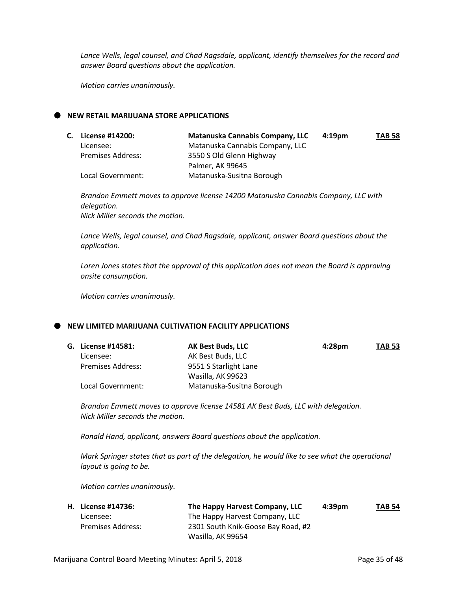*Lance Wells, legal counsel, and Chad Ragsdale, applicant, identify themselves for the record and answer Board questions about the application.*

*Motion carries unanimously.*

## **NEW RETAIL MARIJUANA STORE APPLICATIONS**

| C. License #14200:       | <b>Matanuska Cannabis Company, LLC</b> | 4:19 <sub>pm</sub> | <b>TAB 58</b> |
|--------------------------|----------------------------------------|--------------------|---------------|
| Licensee:                | Matanuska Cannabis Company, LLC        |                    |               |
| <b>Premises Address:</b> | 3550 S Old Glenn Highway               |                    |               |
|                          | Palmer, AK 99645                       |                    |               |
| Local Government:        | Matanuska-Susitna Borough              |                    |               |

*Brandon Emmett moves to approve license 14200 Matanuska Cannabis Company, LLC with delegation. Nick Miller seconds the motion.*

*Lance Wells, legal counsel, and Chad Ragsdale, applicant, answer Board questions about the application.*

*Loren Jones states that the approval of this application does not mean the Board is approving onsite consumption.*

*Motion carries unanimously.*

## **NEW LIMITED MARIJUANA CULTIVATION FACILITY APPLICATIONS**

| G. License #14581:       | <b>AK Best Buds, LLC</b>  | 4:28pm | <b>TAB 53</b> |
|--------------------------|---------------------------|--------|---------------|
| Licensee:                | AK Best Buds, LLC         |        |               |
| <b>Premises Address:</b> | 9551 S Starlight Lane     |        |               |
|                          | Wasilla, AK 99623         |        |               |
| Local Government:        | Matanuska-Susitna Borough |        |               |

*Brandon Emmett moves to approve license 14581 AK Best Buds, LLC with delegation. Nick Miller seconds the motion.*

*Ronald Hand, applicant, answers Board questions about the application.*

*Mark Springer states that as part of the delegation, he would like to see what the operational layout is going to be.*

*Motion carries unanimously.*

| <b>H.</b> License #14736: | The Happy Harvest Company, LLC     | $4:39$ pm | <b>TAB 54</b> |
|---------------------------|------------------------------------|-----------|---------------|
| Licensee:                 | The Happy Harvest Company, LLC     |           |               |
| Premises Address:         | 2301 South Knik-Goose Bay Road, #2 |           |               |
|                           | Wasilla, AK 99654                  |           |               |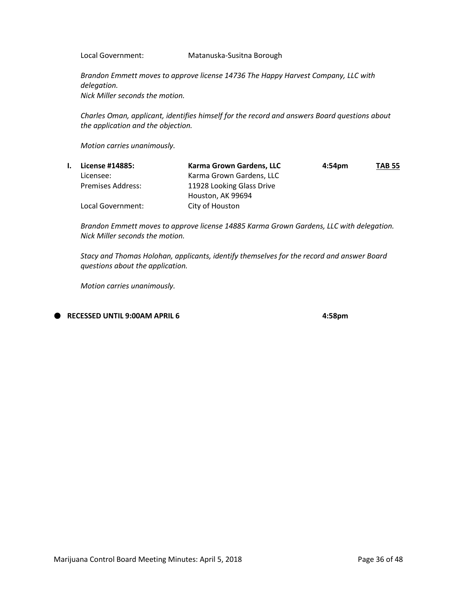Local Government: Matanuska-Susitna Borough

*Brandon Emmett moves to approve license 14736 The Happy Harvest Company, LLC with delegation. Nick Miller seconds the motion.*

*Charles Oman, applicant, identifies himself for the record and answers Board questions about the application and the objection.*

*Motion carries unanimously.*

| License #14885:   | Karma Grown Gardens, LLC  | 4:54 <sub>pm</sub> | <b>TAB 55</b> |
|-------------------|---------------------------|--------------------|---------------|
| Licensee:         | Karma Grown Gardens, LLC  |                    |               |
| Premises Address: | 11928 Looking Glass Drive |                    |               |
|                   | Houston, AK 99694         |                    |               |
| Local Government: | City of Houston           |                    |               |

*Brandon Emmett moves to approve license 14885 Karma Grown Gardens, LLC with delegation. Nick Miller seconds the motion.*

*Stacy and Thomas Holohan, applicants, identify themselves for the record and answer Board questions about the application.*

*Motion carries unanimously.*

**RECESSED UNTIL 9:00AM APRIL 6 4:58pm**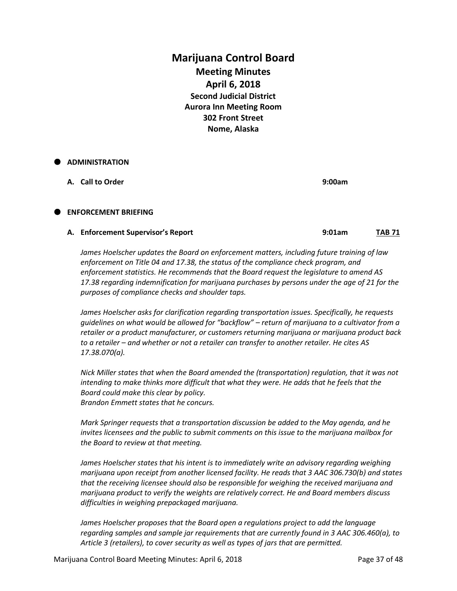# **Marijuana Control Board Meeting Minutes April 6, 2018 Second Judicial District Aurora Inn Meeting Room 302 Front Street Nome, Alaska**

# **ADMINISTRATION**

**A. Call to Order 9:00am**

# **ENFORCEMENT BRIEFING**

#### **A. Enforcement Supervisor's Report 9:01am TAB 71**

*James Hoelscher updates the Board on enforcement matters, including future training of law enforcement on Title 04 and 17.38, the status of the compliance check program, and enforcement statistics. He recommends that the Board request the legislature to amend AS 17.38 regarding indemnification for marijuana purchases by persons under the age of 21 for the purposes of compliance checks and shoulder taps.*

*James Hoelscher asks for clarification regarding transportation issues. Specifically, he requests guidelines on what would be allowed for "backflow" – return of marijuana to a cultivator from a retailer or a product manufacturer, or customers returning marijuana or marijuana product back to a retailer – and whether or not a retailer can transfer to another retailer. He cites AS 17.38.070(a).*

*Nick Miller states that when the Board amended the (transportation) regulation, that it was not*  intending to make thinks more difficult that what they were. He adds that he feels that the *Board could make this clear by policy. Brandon Emmett states that he concurs.*

*Mark Springer requests that a transportation discussion be added to the May agenda, and he invites licensees and the public to submit comments on this issue to the marijuana mailbox for the Board to review at that meeting.*

*James Hoelscher states that his intent is to immediately write an advisory regarding weighing marijuana upon receipt from another licensed facility. He reads that 3 AAC 306.730(b) and states that the receiving licensee should also be responsible for weighing the received marijuana and marijuana product to verify the weights are relatively correct. He and Board members discuss difficulties in weighing prepackaged marijuana.*

*James Hoelscher proposes that the Board open a regulations project to add the language regarding samples and sample jar requirements that are currently found in 3 AAC 306.460(a), to Article 3 (retailers), to cover security as well as types of jars that are permitted.*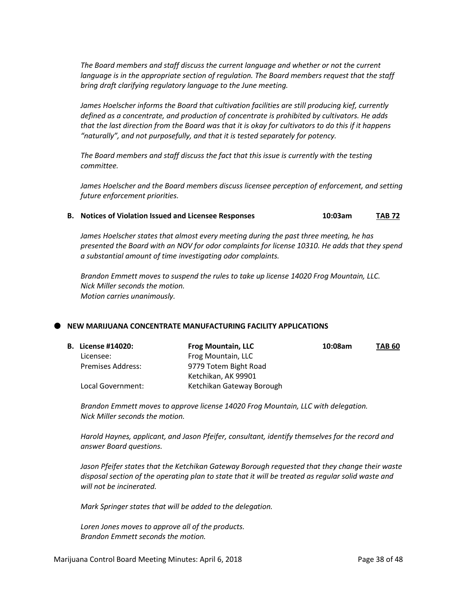*The Board members and staff discuss the current language and whether or not the current language is in the appropriate section of regulation. The Board members request that the staff bring draft clarifying regulatory language to the June meeting.*

*James Hoelscher informs the Board that cultivation facilities are still producing kief, currently defined as a concentrate, and production of concentrate is prohibited by cultivators. He adds that the last direction from the Board was that it is okay for cultivators to do this if it happens "naturally", and not purposefully, and that it is tested separately for potency.* 

*The Board members and staff discuss the fact that this issue is currently with the testing committee.*

*James Hoelscher and the Board members discuss licensee perception of enforcement, and setting future enforcement priorities.*

**B. Notices of Violation Issued and Licensee Responses 10:03am TAB 72**

*James Hoelscher states that almost every meeting during the past three meeting, he has presented the Board with an NOV for odor complaints for license 10310. He adds that they spend a substantial amount of time investigating odor complaints.*

*Brandon Emmett moves to suspend the rules to take up license 14020 Frog Mountain, LLC. Nick Miller seconds the motion. Motion carries unanimously.* 

#### **NEW MARIJUANA CONCENTRATE MANUFACTURING FACILITY APPLICATIONS**

| <b>B.</b> License #14020: | <b>Frog Mountain, LLC</b> | 10:08am | <b>TAB 60</b> |
|---------------------------|---------------------------|---------|---------------|
| Licensee:                 | Frog Mountain, LLC        |         |               |
| <b>Premises Address:</b>  | 9779 Totem Bight Road     |         |               |
|                           | Ketchikan, AK 99901       |         |               |
| Local Government:         | Ketchikan Gateway Borough |         |               |

*Brandon Emmett moves to approve license 14020 Frog Mountain, LLC with delegation. Nick Miller seconds the motion.*

*Harold Haynes, applicant, and Jason Pfeifer, consultant, identify themselves for the record and answer Board questions.*

*Jason Pfeifer states that the Ketchikan Gateway Borough requested that they change their waste disposal section of the operating plan to state that it will be treated as regular solid waste and will not be incinerated.*

*Mark Springer states that will be added to the delegation.*

*Loren Jones moves to approve all of the products. Brandon Emmett seconds the motion.*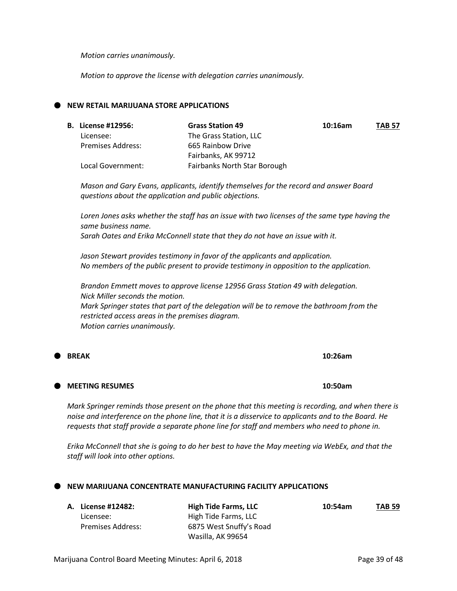*Erika McConnell that she is going to do her best to have the May meeting via WebEx, and that the* 

# **NEW MARIJUANA CONCENTRATE MANUFACTURING FACILITY APPLICATIONS**

Licensee: High Tide Farms, LLC Premises Address: 6875 West Snuffy's Road

*Motion carries unanimously.*

*Motion to approve the license with delegation carries unanimously.*

# **NEW RETAIL MARIJUANA STORE APPLICATIONS**

| <b>B.</b> License #12956: | <b>Grass Station 49</b>      | 10:16am | <b>TAB 57</b> |
|---------------------------|------------------------------|---------|---------------|
|                           |                              |         |               |
| Licensee:                 | The Grass Station, LLC       |         |               |
| Premises Address:         | 665 Rainbow Drive            |         |               |
|                           | Fairbanks, AK 99712          |         |               |
| Local Government:         | Fairbanks North Star Borough |         |               |

*Mason and Gary Evans, applicants, identify themselves for the record and answer Board questions about the application and public objections.*

*Loren Jones asks whether the staff has an issue with two licenses of the same type having the same business name. Sarah Oates and Erika McConnell state that they do not have an issue with it.*

*Jason Stewart provides testimony in favor of the applicants and application. No members of the public present to provide testimony in opposition to the application.*

*Brandon Emmett moves to approve license 12956 Grass Station 49 with delegation. Nick Miller seconds the motion. Mark Springer states that part of the delegation will be to remove the bathroom from the restricted access areas in the premises diagram.*

*Motion carries unanimously.*

#### **MEETING RESUMES 10:50am**

*Mark Springer reminds those present on the phone that this meeting is recording, and when there is noise and interference on the phone line, that it is a disservice to applicants and to the Board. He requests that staff provide a separate phone line for staff and members who need to phone in.*

*staff will look into other options.*

Wasilla, AK 99654

# **A. License #12482: High Tide Farms, LLC 10:54am TAB 59**

**BREAK 10:26am**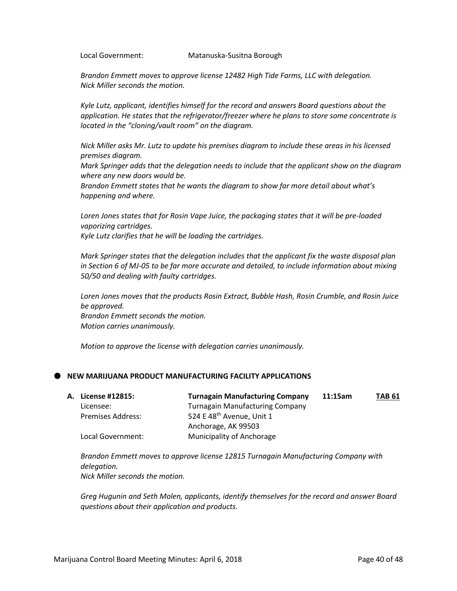Local Government: Matanuska-Susitna Borough

*Brandon Emmett moves to approve license 12482 High Tide Farms, LLC with delegation. Nick Miller seconds the motion.*

*Kyle Lutz, applicant, identifies himself for the record and answers Board questions about the application. He states that the refrigerator/freezer where he plans to store some concentrate is located in the "cloning/vault room" on the diagram.*

*Nick Miller asks Mr. Lutz to update his premises diagram to include these areas in his licensed premises diagram.*

*Mark Springer adds that the delegation needs to include that the applicant show on the diagram where any new doors would be.*

*Brandon Emmett states that he wants the diagram to show far more detail about what's happening and where.*

*Loren Jones states that for Rosin Vape Juice, the packaging states that it will be pre-loaded vaporizing cartridges. Kyle Lutz clarifies that he will be loading the cartridges.*

*Mark Springer states that the delegation includes that the applicant fix the waste disposal plan in Section 6 of MJ-05 to be far more accurate and detailed, to include information about mixing 50/50 and dealing with faulty cartridges.*

*Loren Jones moves that the products Rosin Extract, Bubble Hash, Rosin Crumble, and Rosin Juice be approved. Brandon Emmett seconds the motion. Motion carries unanimously.*

*Motion to approve the license with delegation carries unanimously.*

# **NEW MARIJUANA PRODUCT MANUFACTURING FACILITY APPLICATIONS**

| <b>A. License #12815:</b> | <b>Turnagain Manufacturing Company</b> | 11:15am | <b>TAB 61</b> |
|---------------------------|----------------------------------------|---------|---------------|
| Licensee:                 | <b>Turnagain Manufacturing Company</b> |         |               |
| <b>Premises Address:</b>  | 524 E 48 <sup>th</sup> Avenue, Unit 1  |         |               |
|                           | Anchorage, AK 99503                    |         |               |
| Local Government:         | <b>Municipality of Anchorage</b>       |         |               |

*Brandon Emmett moves to approve license 12815 Turnagain Manufacturing Company with delegation. Nick Miller seconds the motion.*

*Greg Hugunin and Seth Molen, applicants, identify themselves for the record and answer Board questions about their application and products.*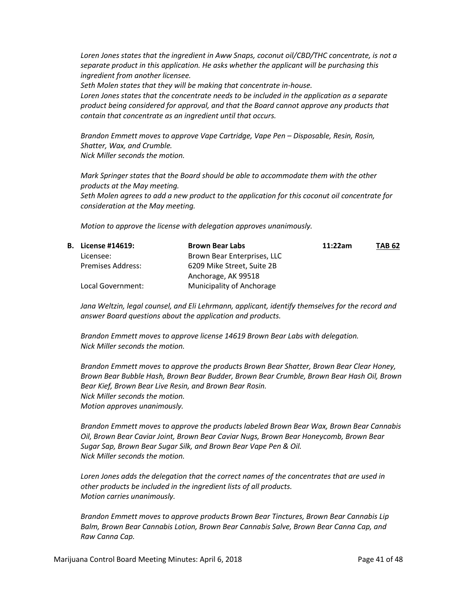*Loren Jones states that the ingredient in Aww Snaps, coconut oil/CBD/THC concentrate, is not a separate product in this application. He asks whether the applicant will be purchasing this ingredient from another licensee.*

*Seth Molen states that they will be making that concentrate in-house.*

*Loren Jones states that the concentrate needs to be included in the application as a separate product being considered for approval, and that the Board cannot approve any products that contain that concentrate as an ingredient until that occurs.*

*Brandon Emmett moves to approve Vape Cartridge, Vape Pen – Disposable, Resin, Rosin, Shatter, Wax, and Crumble. Nick Miller seconds the motion.*

*Mark Springer states that the Board should be able to accommodate them with the other products at the May meeting. Seth Molen agrees to add a new product to the application for this coconut oil concentrate for consideration at the May meeting.*

*Motion to approve the license with delegation approves unanimously.* 

| <b>B.</b> License #14619: | <b>Brown Bear Labs</b>      | 11:22am | <b>TAB 62</b> |
|---------------------------|-----------------------------|---------|---------------|
| Licensee:                 | Brown Bear Enterprises, LLC |         |               |
| <b>Premises Address:</b>  | 6209 Mike Street, Suite 2B  |         |               |
|                           | Anchorage, AK 99518         |         |               |
| Local Government:         | Municipality of Anchorage   |         |               |

*Jana Weltzin, legal counsel, and Eli Lehrmann, applicant, identify themselves for the record and answer Board questions about the application and products.*

*Brandon Emmett moves to approve license 14619 Brown Bear Labs with delegation. Nick Miller seconds the motion.*

*Brandon Emmett moves to approve the products Brown Bear Shatter, Brown Bear Clear Honey, Brown Bear Bubble Hash, Brown Bear Budder, Brown Bear Crumble, Brown Bear Hash Oil, Brown Bear Kief, Brown Bear Live Resin, and Brown Bear Rosin. Nick Miller seconds the motion. Motion approves unanimously.*

*Brandon Emmett moves to approve the products labeled Brown Bear Wax, Brown Bear Cannabis Oil, Brown Bear Caviar Joint, Brown Bear Caviar Nugs, Brown Bear Honeycomb, Brown Bear Sugar Sap, Brown Bear Sugar Silk, and Brown Bear Vape Pen & Oil. Nick Miller seconds the motion.*

*Loren Jones adds the delegation that the correct names of the concentrates that are used in other products be included in the ingredient lists of all products. Motion carries unanimously.*

*Brandon Emmett moves to approve products Brown Bear Tinctures, Brown Bear Cannabis Lip Balm, Brown Bear Cannabis Lotion, Brown Bear Cannabis Salve, Brown Bear Canna Cap, and Raw Canna Cap.*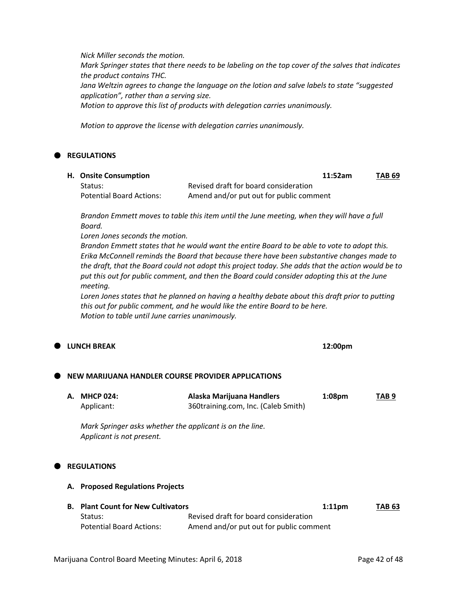*Nick Miller seconds the motion. Mark Springer states that there needs to be labeling on the top cover of the salves that indicates the product contains THC. Jana Weltzin agrees to change the language on the lotion and salve labels to state "suggested application", rather than a serving size. Motion to approve this list of products with delegation carries unanimously.*

*Motion to approve the license with delegation carries unanimously.*

# **REGULATIONS**

**H. Onsite Consumption 11:52am TAB 69** Status: Status: Revised draft for board consideration Potential Board Actions: Amend and/or put out for public comment

*Brandon Emmett moves to table this item until the June meeting, when they will have a full Board.*

*Loren Jones seconds the motion.*

*Brandon Emmett states that he would want the entire Board to be able to vote to adopt this. Erika McConnell reminds the Board that because there have been substantive changes made to the draft, that the Board could not adopt this project today. She adds that the action would be to put this out for public comment, and then the Board could consider adopting this at the June meeting.*

*Loren Jones states that he planned on having a healthy debate about this draft prior to putting this out for public comment, and he would like the entire Board to be here. Motion to table until June carries unanimously.*

| ● |           | <b>LUNCH BREAK</b>                                                                    |                                                                                  | 12:00pm            |               |
|---|-----------|---------------------------------------------------------------------------------------|----------------------------------------------------------------------------------|--------------------|---------------|
| Œ |           | NEW MARIJUANA HANDLER COURSE PROVIDER APPLICATIONS                                    |                                                                                  |                    |               |
|   | А.        | <b>MHCP 024:</b><br>Applicant:                                                        | Alaska Marijuana Handlers<br>360training.com, Inc. (Caleb Smith)                 | 1:08 <sub>pm</sub> | TAB 9         |
|   |           | Mark Springer asks whether the applicant is on the line.<br>Applicant is not present. |                                                                                  |                    |               |
| Œ |           | <b>REGULATIONS</b>                                                                    |                                                                                  |                    |               |
|   | А.        | <b>Proposed Regulations Projects</b>                                                  |                                                                                  |                    |               |
|   | <b>B.</b> | <b>Plant Count for New Cultivators</b><br>Status:<br><b>Potential Board Actions:</b>  | Revised draft for board consideration<br>Amend and/or put out for public comment | $1:11$ pm          | <b>TAB 63</b> |
|   |           |                                                                                       |                                                                                  |                    |               |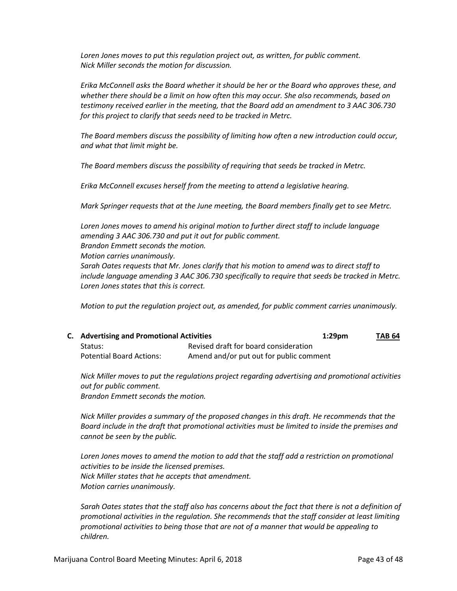*Loren Jones moves to put this regulation project out, as written, for public comment. Nick Miller seconds the motion for discussion.*

*Erika McConnell asks the Board whether it should be her or the Board who approves these, and whether there should be a limit on how often this may occur. She also recommends, based on testimony received earlier in the meeting, that the Board add an amendment to 3 AAC 306.730 for this project to clarify that seeds need to be tracked in Metrc.*

*The Board members discuss the possibility of limiting how often a new introduction could occur, and what that limit might be.*

*The Board members discuss the possibility of requiring that seeds be tracked in Metrc.*

*Erika McConnell excuses herself from the meeting to attend a legislative hearing.*

*Mark Springer requests that at the June meeting, the Board members finally get to see Metrc.*

*Loren Jones moves to amend his original motion to further direct staff to include language amending 3 AAC 306.730 and put it out for public comment. Brandon Emmett seconds the motion. Motion carries unanimously. Sarah Oates requests that Mr. Jones clarify that his motion to amend was to direct staff to* 

*include language amending 3 AAC 306.730 specifically to require that seeds be tracked in Metrc. Loren Jones states that this is correct.*

*Motion to put the regulation project out, as amended, for public comment carries unanimously.*

| <b>C.</b> Advertising and Promotional Activities |                                         | $1:29$ pm | TAB 64 |
|--------------------------------------------------|-----------------------------------------|-----------|--------|
| Status:                                          | Revised draft for board consideration   |           |        |
| <b>Potential Board Actions:</b>                  | Amend and/or put out for public comment |           |        |

*Nick Miller moves to put the regulations project regarding advertising and promotional activities out for public comment. Brandon Emmett seconds the motion.*

*Nick Miller provides a summary of the proposed changes in this draft. He recommends that the Board include in the draft that promotional activities must be limited to inside the premises and cannot be seen by the public.*

Loren Jones moves to amend the motion to add that the staff add a restriction on promotional *activities to be inside the licensed premises. Nick Miller states that he accepts that amendment. Motion carries unanimously.*

*Sarah Oates states that the staff also has concerns about the fact that there is not a definition of promotional activities in the regulation. She recommends that the staff consider at least limiting promotional activities to being those that are not of a manner that would be appealing to children.*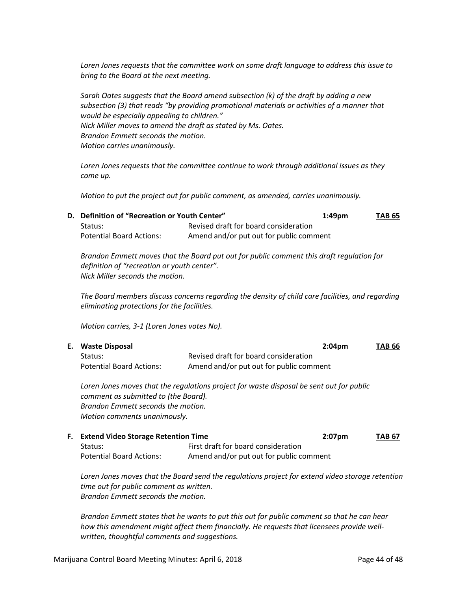*Loren Jones requests that the committee work on some draft language to address this issue to bring to the Board at the next meeting.*

*Sarah Oates suggests that the Board amend subsection (k) of the draft by adding a new subsection (3) that reads "by providing promotional materials or activities of a manner that would be especially appealing to children." Nick Miller moves to amend the draft as stated by Ms. Oates. Brandon Emmett seconds the motion. Motion carries unanimously.*

*Loren Jones requests that the committee continue to work through additional issues as they come up.*

*Motion to put the project out for public comment, as amended, carries unanimously.*

| D. Definition of "Recreation or Youth Center" |                                         | $1:49$ pm | TAB 65 |
|-----------------------------------------------|-----------------------------------------|-----------|--------|
| Status:                                       | Revised draft for board consideration   |           |        |
| <b>Potential Board Actions:</b>               | Amend and/or put out for public comment |           |        |

*Brandon Emmett moves that the Board put out for public comment this draft regulation for definition of "recreation or youth center". Nick Miller seconds the motion.*

*The Board members discuss concerns regarding the density of child care facilities, and regarding eliminating protections for the facilities.*

*Motion carries, 3-1 (Loren Jones votes No).*

| E. Waste Disposal               | $2:04$ pm                               | <b>TAB 66</b> |
|---------------------------------|-----------------------------------------|---------------|
| Status:                         | Revised draft for board consideration   |               |
| <b>Potential Board Actions:</b> | Amend and/or put out for public comment |               |

*Loren Jones moves that the regulations project for waste disposal be sent out for public comment as submitted to (the Board). Brandon Emmett seconds the motion. Motion comments unanimously.*

| <b>F.</b> Extend Video Storage Retention Time |                                         | $2:07$ pm | <b>TAB 67</b> |
|-----------------------------------------------|-----------------------------------------|-----------|---------------|
| Status:                                       | First draft for board consideration     |           |               |
| <b>Potential Board Actions:</b>               | Amend and/or put out for public comment |           |               |

*Loren Jones moves that the Board send the regulations project for extend video storage retention time out for public comment as written. Brandon Emmett seconds the motion.* 

*Brandon Emmett states that he wants to put this out for public comment so that he can hear how this amendment might affect them financially. He requests that licensees provide wellwritten, thoughtful comments and suggestions.*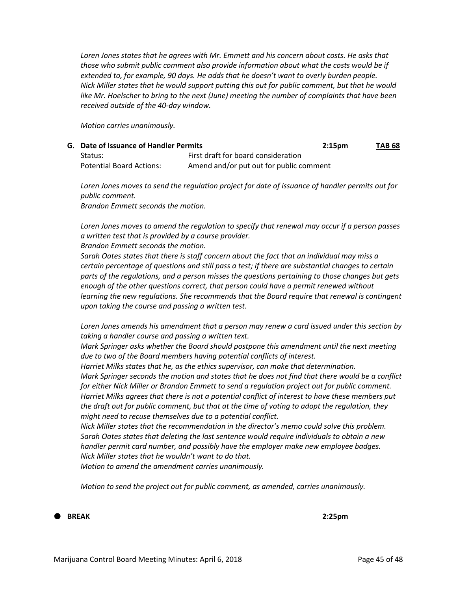Loren Jones states that he agrees with Mr. Emmett and his concern about costs. He asks that *those who submit public comment also provide information about what the costs would be if extended to, for example, 90 days. He adds that he doesn't want to overly burden people. Nick Miller states that he would support putting this out for public comment, but that he would like Mr. Hoelscher to bring to the next (June) meeting the number of complaints that have been received outside of the 40-day window.*

*Motion carries unanimously.*

| G. Date of Issuance of Handler Permits |                                         | 2:15 <sub>pm</sub> | <b>TAB 68</b> |
|----------------------------------------|-----------------------------------------|--------------------|---------------|
| Status:                                | First draft for board consideration     |                    |               |
| <b>Potential Board Actions:</b>        | Amend and/or put out for public comment |                    |               |

*Loren Jones moves to send the regulation project for date of issuance of handler permits out for public comment.*

*Brandon Emmett seconds the motion.*

*Loren Jones moves to amend the regulation to specify that renewal may occur if a person passes a written test that is provided by a course provider.*

*Brandon Emmett seconds the motion.*

*Sarah Oates states that there is staff concern about the fact that an individual may miss a certain percentage of questions and still pass a test; if there are substantial changes to certain parts of the regulations, and a person misses the questions pertaining to those changes but gets enough of the other questions correct, that person could have a permit renewed without learning the new regulations. She recommends that the Board require that renewal is contingent upon taking the course and passing a written test.*

*Loren Jones amends his amendment that a person may renew a card issued under this section by taking a handler course and passing a written text.*

*Mark Springer asks whether the Board should postpone this amendment until the next meeting due to two of the Board members having potential conflicts of interest.*

*Harriet Milks states that he, as the ethics supervisor, can make that determination.*

*Mark Springer seconds the motion and states that he does not find that there would be a conflict for either Nick Miller or Brandon Emmett to send a regulation project out for public comment. Harriet Milks agrees that there is not a potential conflict of interest to have these members put the draft out for public comment, but that at the time of voting to adopt the regulation, they might need to recuse themselves due to a potential conflict.*

*Nick Miller states that the recommendation in the director's memo could solve this problem. Sarah Oates states that deleting the last sentence would require individuals to obtain a new handler permit card number, and possibly have the employer make new employee badges. Nick Miller states that he wouldn't want to do that.*

*Motion to amend the amendment carries unanimously.*

*Motion to send the project out for public comment, as amended, carries unanimously.*

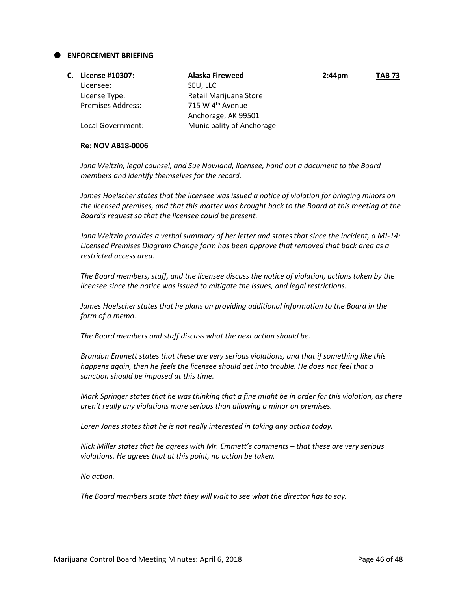#### **ENFORCEMENT BRIEFING**

| С. | License #10307:          | Alaska Fireweed              | $2:44 \text{pm}$ | <b>TAB 73</b> |
|----|--------------------------|------------------------------|------------------|---------------|
|    | Licensee:                | SEU, LLC                     |                  |               |
|    | License Type:            | Retail Marijuana Store       |                  |               |
|    | <b>Premises Address:</b> | 715 W 4 <sup>th</sup> Avenue |                  |               |
|    |                          | Anchorage, AK 99501          |                  |               |
|    | Local Government:        | Municipality of Anchorage    |                  |               |

#### **Re: NOV AB18-0006**

*Jana Weltzin, legal counsel, and Sue Nowland, licensee, hand out a document to the Board members and identify themselves for the record.*

*James Hoelscher states that the licensee was issued a notice of violation for bringing minors on the licensed premises, and that this matter was brought back to the Board at this meeting at the Board's request so that the licensee could be present.*

*Jana Weltzin provides a verbal summary of her letter and states that since the incident, a MJ-14: Licensed Premises Diagram Change form has been approve that removed that back area as a restricted access area.*

*The Board members, staff, and the licensee discuss the notice of violation, actions taken by the licensee since the notice was issued to mitigate the issues, and legal restrictions.*

*James Hoelscher states that he plans on providing additional information to the Board in the form of a memo.*

*The Board members and staff discuss what the next action should be.*

*Brandon Emmett states that these are very serious violations, and that if something like this happens again, then he feels the licensee should get into trouble. He does not feel that a sanction should be imposed at this time.*

*Mark Springer states that he was thinking that a fine might be in order for this violation, as there aren't really any violations more serious than allowing a minor on premises.*

*Loren Jones states that he is not really interested in taking any action today.*

*Nick Miller states that he agrees with Mr. Emmett's comments – that these are very serious violations. He agrees that at this point, no action be taken.*

*No action.*

*The Board members state that they will wait to see what the director has to say.*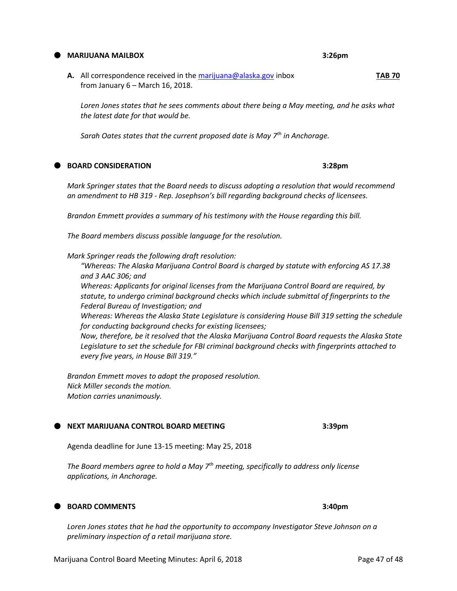Marijuana Control Board Meeting Minutes: April 6, 2018 **Page 47 of 48** Page 47 of 48

#### **MARIJUANA MAILBOX 3:26pm**

**A.** All correspondence received in th[e marijuana@alaska.gov](mailto:marijuana@alaska.gov) inbox **TAB 70** from January 6 – March 16, 2018.

*Loren Jones states that he sees comments about there being a May meeting, and he asks what the latest date for that would be.*

*Sarah Oates states that the current proposed date is May 7th in Anchorage.*

**BOARD CONSIDERATION 3:28pm**

*Mark Springer states that the Board needs to discuss adopting a resolution that would recommend an amendment to HB 319 - Rep. Josephson's bill regarding background checks of licensees.*

*Brandon Emmett provides a summary of his testimony with the House regarding this bill.*

*The Board members discuss possible language for the resolution.*

*Mark Springer reads the following draft resolution:*

*"Whereas: The Alaska Marijuana Control Board is charged by statute with enforcing AS 17.38 and 3 AAC 306; and Whereas: Applicants for original licenses from the Marijuana Control Board are required, by statute, to undergo criminal background checks which include submittal of fingerprints to the Federal Bureau of Investigation; and*

*Whereas: Whereas the Alaska State Legislature is considering House Bill 319 setting the schedule for conducting background checks for existing licensees;*

*Now, therefore, be it resolved that the Alaska Marijuana Control Board requests the Alaska State Legislature to set the schedule for FBI criminal background checks with fingerprints attached to every five years, in House Bill 319."*

*Brandon Emmett moves to adopt the proposed resolution. Nick Miller seconds the motion. Motion carries unanimously.*

#### **NEXT MARIJUANA CONTROL BOARD MEETING 3:39pm**

Agenda deadline for June 13-15 meeting: May 25, 2018

*The Board members agree to hold a May 7th meeting, specifically to address only license applications, in Anchorage.*

# **BOARD COMMENTS 3:40pm**

*Loren Jones states that he had the opportunity to accompany Investigator Steve Johnson on a preliminary inspection of a retail marijuana store.*